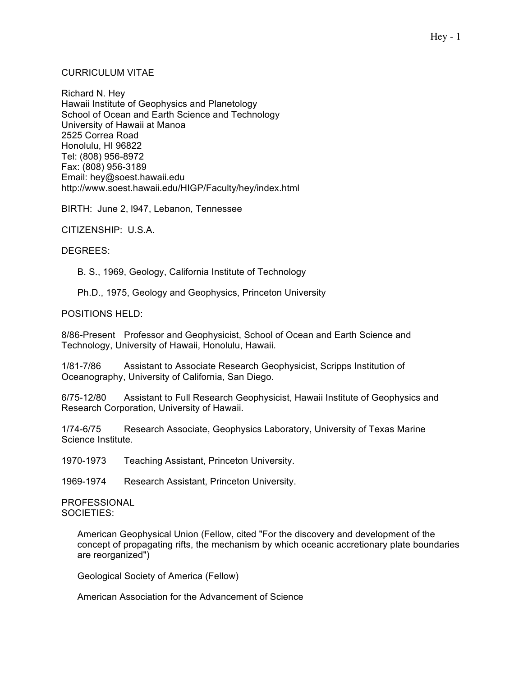# CURRICULUM VITAE

Richard N. Hey Hawaii Institute of Geophysics and Planetology School of Ocean and Earth Science and Technology University of Hawaii at Manoa 2525 Correa Road Honolulu, HI 96822 Tel: (808) 956-8972 Fax: (808) 956-3189 Email: hey@soest.hawaii.edu http://www.soest.hawaii.edu/HIGP/Faculty/hey/index.html

BIRTH: June 2, l947, Lebanon, Tennessee

CITIZENSHIP: U.S.A.

DEGREES:

B. S., 1969, Geology, California Institute of Technology

Ph.D., 1975, Geology and Geophysics, Princeton University

POSITIONS HELD:

8/86-Present Professor and Geophysicist, School of Ocean and Earth Science and Technology, University of Hawaii, Honolulu, Hawaii.

1/81-7/86 Assistant to Associate Research Geophysicist, Scripps Institution of Oceanography, University of California, San Diego.

6/75-12/80 Assistant to Full Research Geophysicist, Hawaii Institute of Geophysics and Research Corporation, University of Hawaii.

1/74-6/75 Research Associate, Geophysics Laboratory, University of Texas Marine Science Institute.

1970-1973 Teaching Assistant, Princeton University.

1969-1974 Research Assistant, Princeton University.

PROFESSIONAL SOCIETIES:

> American Geophysical Union (Fellow, cited "For the discovery and development of the concept of propagating rifts, the mechanism by which oceanic accretionary plate boundaries are reorganized")

Geological Society of America (Fellow)

American Association for the Advancement of Science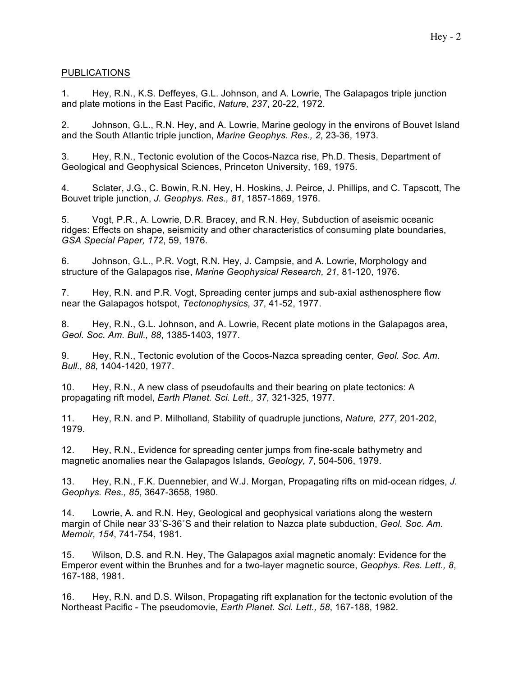# PUBLICATIONS

1. Hey, R.N., K.S. Deffeyes, G.L. Johnson, and A. Lowrie, The Galapagos triple junction and plate motions in the East Pacific, *Nature, 237*, 20-22, 1972.

2. Johnson, G.L., R.N. Hey, and A. Lowrie, Marine geology in the environs of Bouvet Island and the South Atlantic triple junction, *Marine Geophys. Res., 2*, 23-36, 1973.

3. Hey, R.N., Tectonic evolution of the Cocos-Nazca rise, Ph.D. Thesis, Department of Geological and Geophysical Sciences, Princeton University, 169, 1975.

4. Sclater, J.G., C. Bowin, R.N. Hey, H. Hoskins, J. Peirce, J. Phillips, and C. Tapscott, The Bouvet triple junction, *J. Geophys. Res., 81*, 1857-1869, 1976.

5. Vogt, P.R., A. Lowrie, D.R. Bracey, and R.N. Hey, Subduction of aseismic oceanic ridges: Effects on shape, seismicity and other characteristics of consuming plate boundaries, *GSA Special Paper, 172*, 59, 1976.

6. Johnson, G.L., P.R. Vogt, R.N. Hey, J. Campsie, and A. Lowrie, Morphology and structure of the Galapagos rise, *Marine Geophysical Research, 21*, 81-120, 1976.

7. Hey, R.N. and P.R. Vogt, Spreading center jumps and sub-axial asthenosphere flow near the Galapagos hotspot, *Tectonophysics, 37*, 41-52, 1977.

8. Hey, R.N., G.L. Johnson, and A. Lowrie, Recent plate motions in the Galapagos area, *Geol. Soc. Am. Bull., 88*, 1385-1403, 1977.

9. Hey, R.N., Tectonic evolution of the Cocos-Nazca spreading center, *Geol. Soc. Am. Bull., 88*, 1404-1420, 1977.

10. Hey, R.N., A new class of pseudofaults and their bearing on plate tectonics: A propagating rift model, *Earth Planet. Sci. Lett., 37*, 321-325, 1977.

11. Hey, R.N. and P. Milholland, Stability of quadruple junctions, *Nature, 277*, 201-202, 1979.

12. Hey, R.N., Evidence for spreading center jumps from fine-scale bathymetry and magnetic anomalies near the Galapagos Islands, *Geology, 7*, 504-506, 1979.

13. Hey, R.N., F.K. Duennebier, and W.J. Morgan, Propagating rifts on mid-ocean ridges, *J. Geophys. Res., 85*, 3647-3658, 1980.

14. Lowrie, A. and R.N. Hey, Geological and geophysical variations along the western margin of Chile near 33˚S-36˚S and their relation to Nazca plate subduction, *Geol. Soc. Am. Memoir, 154*, 741-754, 1981.

15. Wilson, D.S. and R.N. Hey, The Galapagos axial magnetic anomaly: Evidence for the Emperor event within the Brunhes and for a two-layer magnetic source, *Geophys. Res. Lett., 8*, 167-188, 1981.

16. Hey, R.N. and D.S. Wilson, Propagating rift explanation for the tectonic evolution of the Northeast Pacific - The pseudomovie, *Earth Planet. Sci. Lett., 58*, 167-188, 1982.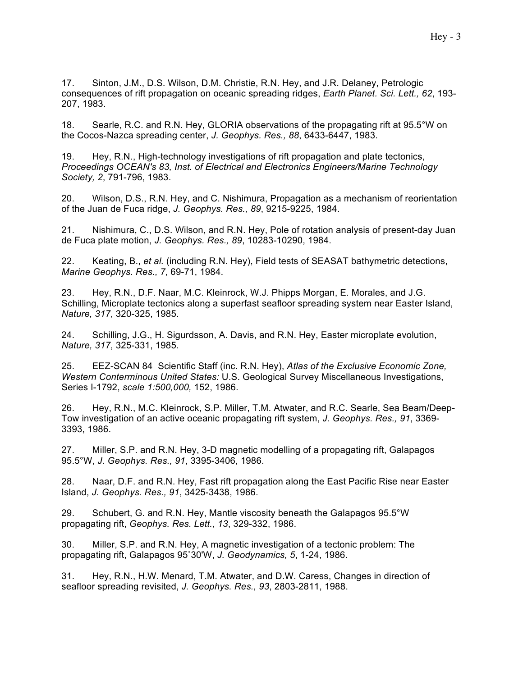17. Sinton, J.M., D.S. Wilson, D.M. Christie, R.N. Hey, and J.R. Delaney, Petrologic consequences of rift propagation on oceanic spreading ridges, *Earth Planet. Sci. Lett., 62*, 193- 207, 1983.

18. Searle, R.C. and R.N. Hey, GLORIA observations of the propagating rift at 95.5°W on the Cocos-Nazca spreading center, *J. Geophys. Res., 88*, 6433-6447, 1983.

19. Hey, R.N., High-technology investigations of rift propagation and plate tectonics, *Proceedings OCEAN's 83, Inst. of Electrical and Electronics Engineers/Marine Technology Society, 2*, 791-796, 1983.

20. Wilson, D.S., R.N. Hey, and C. Nishimura, Propagation as a mechanism of reorientation of the Juan de Fuca ridge, *J. Geophys. Res., 89*, 9215-9225, 1984.

21. Nishimura, C., D.S. Wilson, and R.N. Hey, Pole of rotation analysis of present-day Juan de Fuca plate motion, *J. Geophys. Res., 89*, 10283-10290, 1984.

22. Keating, B., *et al.* (including R.N. Hey), Field tests of SEASAT bathymetric detections, *Marine Geophys. Res., 7*, 69-71, 1984.

23. Hey, R.N., D.F. Naar, M.C. Kleinrock, W.J. Phipps Morgan, E. Morales, and J.G. Schilling, Microplate tectonics along a superfast seafloor spreading system near Easter Island, *Nature, 317*, 320-325, 1985.

24. Schilling, J.G., H. Sigurdsson, A. Davis, and R.N. Hey, Easter microplate evolution, *Nature, 317*, 325-331, 1985.

25. EEZ-SCAN 84 Scientific Staff (inc. R.N. Hey), *Atlas of the Exclusive Economic Zone, Western Conterminous United States:* U.S. Geological Survey Miscellaneous Investigations, Series I-1792, *scale 1:500,000,* 152, 1986.

26. Hey, R.N., M.C. Kleinrock, S.P. Miller, T.M. Atwater, and R.C. Searle, Sea Beam/Deep-Tow investigation of an active oceanic propagating rift system, *J. Geophys. Res., 91*, 3369- 3393, 1986.

27. Miller, S.P. and R.N. Hey, 3-D magnetic modelling of a propagating rift, Galapagos 95.5°W, *J. Geophys. Res., 91*, 3395-3406, 1986.

28. Naar, D.F. and R.N. Hey, Fast rift propagation along the East Pacific Rise near Easter Island, *J. Geophys. Res., 91*, 3425-3438, 1986.

29. Schubert, G. and R.N. Hey, Mantle viscosity beneath the Galapagos 95.5°W propagating rift, *Geophys. Res. Lett., 13*, 329-332, 1986.

30. Miller, S.P. and R.N. Hey, A magnetic investigation of a tectonic problem: The propagating rift, Galapagos 95˚30'W, *J. Geodynamics, 5*, 1-24, 1986.

31. Hey, R.N., H.W. Menard, T.M. Atwater, and D.W. Caress, Changes in direction of seafloor spreading revisited, *J. Geophys. Res., 93*, 2803-2811, 1988.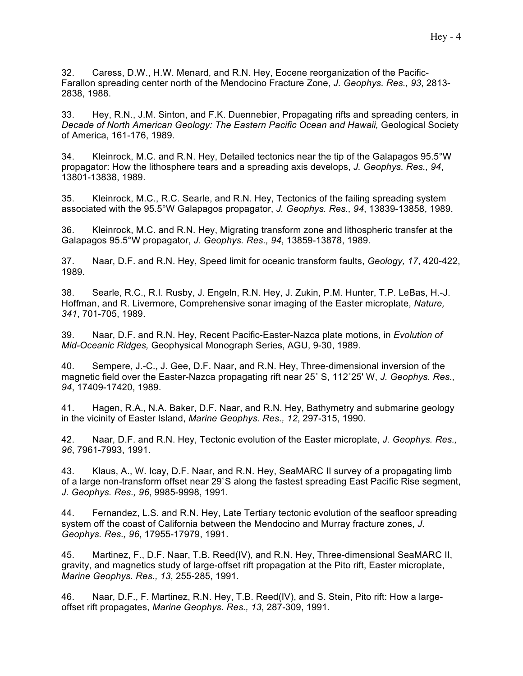32. Caress, D.W., H.W. Menard, and R.N. Hey, Eocene reorganization of the Pacific-Farallon spreading center north of the Mendocino Fracture Zone, *J. Geophys. Res., 93*, 2813- 2838, 1988.

33. Hey, R.N., J.M. Sinton, and F.K. Duennebier, Propagating rifts and spreading centers*,* in *Decade of North American Geology: The Eastern Pacific Ocean and Hawaii,* Geological Society of America, 161-176, 1989.

34. Kleinrock, M.C. and R.N. Hey, Detailed tectonics near the tip of the Galapagos 95.5°W propagator: How the lithosphere tears and a spreading axis develops, *J. Geophys. Res., 94*, 13801-13838, 1989.

35. Kleinrock, M.C., R.C. Searle, and R.N. Hey, Tectonics of the failing spreading system associated with the 95.5°W Galapagos propagator, *J. Geophys. Res., 94*, 13839-13858, 1989.

36. Kleinrock, M.C. and R.N. Hey, Migrating transform zone and lithospheric transfer at the Galapagos 95.5°W propagator, *J. Geophys. Res., 94*, 13859-13878, 1989.

37. Naar, D.F. and R.N. Hey, Speed limit for oceanic transform faults, *Geology, 17*, 420-422, 1989.

38. Searle, R.C., R.I. Rusby, J. Engeln, R.N. Hey, J. Zukin, P.M. Hunter, T.P. LeBas, H.-J. Hoffman, and R. Livermore, Comprehensive sonar imaging of the Easter microplate, *Nature, 341*, 701-705, 1989.

39. Naar, D.F. and R.N. Hey, Recent Pacific-Easter-Nazca plate motions*,* in *Evolution of Mid-Oceanic Ridges,* Geophysical Monograph Series, AGU, 9-30, 1989.

40. Sempere, J.-C., J. Gee, D.F. Naar, and R.N. Hey, Three-dimensional inversion of the magnetic field over the Easter-Nazca propagating rift near 25˚ S, 112˚25' W, *J. Geophys. Res., 94*, 17409-17420, 1989.

41. Hagen, R.A., N.A. Baker, D.F. Naar, and R.N. Hey, Bathymetry and submarine geology in the vicinity of Easter Island, *Marine Geophys. Res., 12*, 297-315, 1990.

42. Naar, D.F. and R.N. Hey, Tectonic evolution of the Easter microplate, *J. Geophys. Res., 96*, 7961-7993, 1991.

43. Klaus, A., W. Icay, D.F. Naar, and R.N. Hey, SeaMARC II survey of a propagating limb of a large non-transform offset near 29˚S along the fastest spreading East Pacific Rise segment, *J. Geophys. Res., 96*, 9985-9998, 1991.

44. Fernandez, L.S. and R.N. Hey, Late Tertiary tectonic evolution of the seafloor spreading system off the coast of California between the Mendocino and Murray fracture zones, *J. Geophys. Res., 96*, 17955-17979, 1991.

45. Martinez, F., D.F. Naar, T.B. Reed(IV), and R.N. Hey, Three-dimensional SeaMARC II, gravity, and magnetics study of large-offset rift propagation at the Pito rift, Easter microplate, *Marine Geophys. Res., 13*, 255-285, 1991.

46. Naar, D.F., F. Martinez, R.N. Hey, T.B. Reed(IV), and S. Stein, Pito rift: How a largeoffset rift propagates, *Marine Geophys. Res., 13*, 287-309, 1991.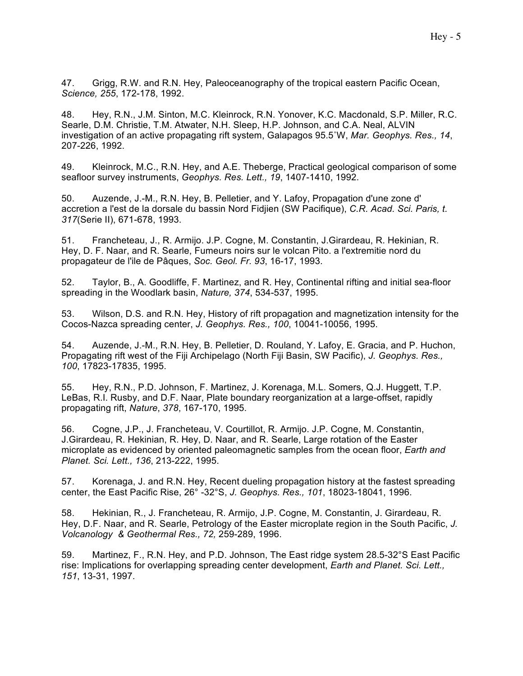47. Grigg, R.W. and R.N. Hey, Paleoceanography of the tropical eastern Pacific Ocean, *Science, 255*, 172-178, 1992.

48. Hey, R.N., J.M. Sinton, M.C. Kleinrock, R.N. Yonover, K.C. Macdonald, S.P. Miller, R.C. Searle, D.M. Christie, T.M. Atwater, N.H. Sleep, H.P. Johnson, and C.A. Neal, ALVIN investigation of an active propagating rift system, Galapagos 95.5˚W, *Mar. Geophys. Res., 14*, 207-226, 1992.

49. Kleinrock, M.C., R.N. Hey, and A.E. Theberge, Practical geological comparison of some seafloor survey instruments, *Geophys. Res. Lett., 19*, 1407-1410, 1992.

50. Auzende, J.-M., R.N. Hey, B. Pelletier, and Y. Lafoy, Propagation d'une zone d' accretion a l'est de la dorsale du bassin Nord Fidjien (SW Pacifique), *C.R. Acad. Sci. Paris, t. 317*(Serie II), 671-678, 1993.

51. Francheteau, J., R. Armijo. J.P. Cogne, M. Constantin, J.Girardeau, R. Hekinian, R. Hey, D. F. Naar, and R. Searle, Fumeurs noirs sur le volcan Pito. a l'extremitie nord du propagateur de l'ile de Pâques, *Soc. Geol. Fr. 93*, 16-17, 1993.

52. Taylor, B., A. Goodliffe, F. Martinez, and R. Hey, Continental rifting and initial sea-floor spreading in the Woodlark basin, *Nature, 374*, 534-537, 1995.

53. Wilson, D.S. and R.N. Hey, History of rift propagation and magnetization intensity for the Cocos-Nazca spreading center, *J. Geophys. Res., 100*, 10041-10056, 1995.

54. Auzende, J.-M., R.N. Hey, B. Pelletier, D. Rouland, Y. Lafoy, E. Gracia, and P. Huchon, Propagating rift west of the Fiji Archipelago (North Fiji Basin, SW Pacific), *J. Geophys. Res., 100*, 17823-17835, 1995.

55. Hey, R.N., P.D. Johnson, F. Martinez, J. Korenaga, M.L. Somers, Q.J. Huggett, T.P. LeBas, R.I. Rusby, and D.F. Naar, Plate boundary reorganization at a large-offset, rapidly propagating rift, *Nature*, *378*, 167-170, 1995.

56. Cogne, J.P., J. Francheteau, V. Courtillot, R. Armijo. J.P. Cogne, M. Constantin, J.Girardeau, R. Hekinian, R. Hey, D. Naar, and R. Searle, Large rotation of the Easter microplate as evidenced by oriented paleomagnetic samples from the ocean floor, *Earth and Planet. Sci. Lett., 136*, 213-222, 1995.

57. Korenaga, J. and R.N. Hey, Recent dueling propagation history at the fastest spreading center, the East Pacific Rise, 26° -32°S, *J. Geophys. Res., 101*, 18023-18041, 1996.

58. Hekinian, R., J. Francheteau, R. Armijo, J.P. Cogne, M. Constantin, J. Girardeau, R. Hey, D.F. Naar, and R. Searle, Petrology of the Easter microplate region in the South Pacific, *J. Volcanology & Geothermal Res., 72,* 259-289, 1996.

59. Martinez, F., R.N. Hey, and P.D. Johnson, The East ridge system 28.5-32°S East Pacific rise: Implications for overlapping spreading center development, *Earth and Planet. Sci. Lett., 151*, 13-31, 1997.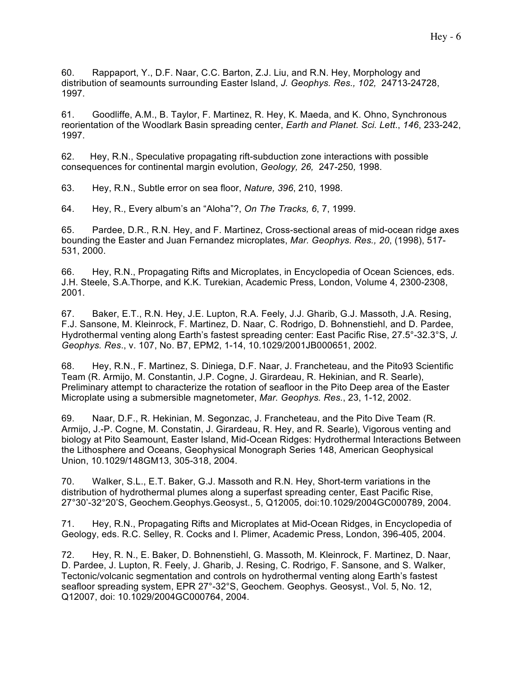60. Rappaport, Y., D.F. Naar, C.C. Barton, Z.J. Liu, and R.N. Hey, Morphology and distribution of seamounts surrounding Easter Island, *J. Geophys. Res., 102,* 24713-24728, 1997.

61. Goodliffe, A.M., B. Taylor, F. Martinez, R. Hey, K. Maeda, and K. Ohno, Synchronous reorientation of the Woodlark Basin spreading center, *Earth and Planet. Sci. Lett*., *146*, 233-242, 1997.

62. Hey, R.N., Speculative propagating rift-subduction zone interactions with possible consequences for continental margin evolution, *Geology, 26,* 247-250*,* 1998.

63. Hey, R.N., Subtle error on sea floor, *Nature, 396*, 210, 1998.

64. Hey, R., Every album's an "Aloha"?, *On The Tracks, 6*, 7, 1999.

65. Pardee, D.R., R.N. Hey, and F. Martinez, Cross-sectional areas of mid-ocean ridge axes bounding the Easter and Juan Fernandez microplates, *Mar. Geophys. Res., 20*, (1998), 517- 531, 2000.

66. Hey, R.N., Propagating Rifts and Microplates, in Encyclopedia of Ocean Sciences, eds. J.H. Steele, S.A.Thorpe, and K.K. Turekian, Academic Press, London, Volume 4, 2300-2308, 2001.

67. Baker, E.T., R.N. Hey, J.E. Lupton, R.A. Feely, J.J. Gharib, G.J. Massoth, J.A. Resing, F.J. Sansone, M. Kleinrock, F. Martinez, D. Naar, C. Rodrigo, D. Bohnenstiehl, and D. Pardee, Hydrothermal venting along Earth's fastest spreading center: East Pacific Rise, 27.5°-32.3°S, *J. Geophys. Res*., v. 107, No. B7, EPM2, 1-14, 10.1029/2001JB000651, 2002.

68. Hey, R.N., F. Martinez, S. Diniega, D.F. Naar, J. Francheteau, and the Pito93 Scientific Team (R. Armijo, M. Constantin, J.P. Cogne, J. Girardeau, R. Hekinian, and R. Searle), Preliminary attempt to characterize the rotation of seafloor in the Pito Deep area of the Easter Microplate using a submersible magnetometer, *Mar. Geophys. Res.*, 23, 1-12, 2002.

69. Naar, D.F., R. Hekinian, M. Segonzac, J. Francheteau, and the Pito Dive Team (R. Armijo, J.-P. Cogne, M. Constatin, J. Girardeau, R. Hey, and R. Searle), Vigorous venting and biology at Pito Seamount, Easter Island, Mid-Ocean Ridges: Hydrothermal Interactions Between the Lithosphere and Oceans, Geophysical Monograph Series 148, American Geophysical Union, 10.1029/148GM13, 305-318, 2004.

70. Walker, S.L., E.T. Baker, G.J. Massoth and R.N. Hey, Short-term variations in the distribution of hydrothermal plumes along a superfast spreading center, East Pacific Rise, 27°30'-32°20'S, Geochem.Geophys.Geosyst., 5, Q12005, doi:10.1029/2004GC000789, 2004.

71. Hey, R.N., Propagating Rifts and Microplates at Mid-Ocean Ridges, in Encyclopedia of Geology, eds. R.C. Selley, R. Cocks and I. Plimer, Academic Press, London, 396-405, 2004.

72. Hey, R. N., E. Baker, D. Bohnenstiehl, G. Massoth, M. Kleinrock, F. Martinez, D. Naar, D. Pardee, J. Lupton, R. Feely, J. Gharib, J. Resing, C. Rodrigo, F. Sansone, and S. Walker, Tectonic/volcanic segmentation and controls on hydrothermal venting along Earth's fastest seafloor spreading system, EPR 27°-32°S, Geochem. Geophys. Geosyst., Vol. 5, No. 12, Q12007, doi: 10.1029/2004GC000764, 2004.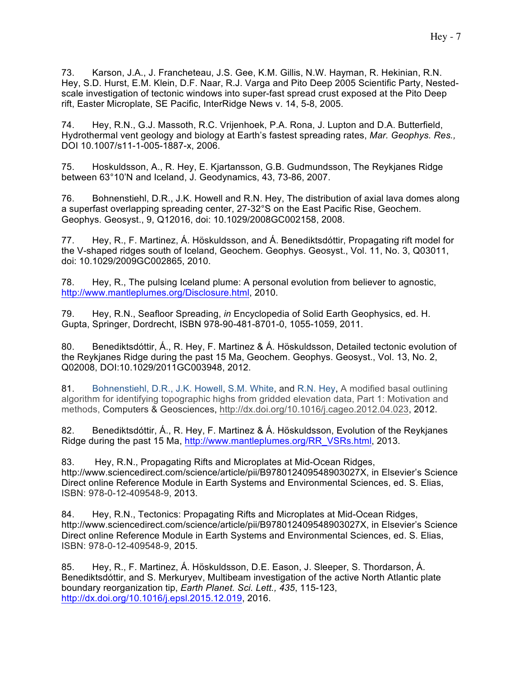74. Hey, R.N., G.J. Massoth, R.C. Vrijenhoek, P.A. Rona, J. Lupton and D.A. Butterfield, Hydrothermal vent geology and biology at Earth's fastest spreading rates, *Mar. Geophys. Res.,*  DOI 10.1007/s11-1-005-1887-x, 2006.

75. Hoskuldsson, A., R. Hey, E. Kjartansson, G.B. Gudmundsson, The Reykjanes Ridge between 63°10'N and Iceland, J. Geodynamics, 43, 73-86, 2007.

76. Bohnenstiehl, D.R., J.K. Howell and R.N. Hey, The distribution of axial lava domes along a superfast overlapping spreading center, 27-32°S on the East Pacific Rise, Geochem. Geophys. Geosyst., 9, Q12016, doi: 10.1029/2008GC002158, 2008.

77. Hey, R., F. Martinez, Á. Höskuldsson, and Á. Benediktsdóttir, Propagating rift model for the V-shaped ridges south of Iceland, Geochem. Geophys. Geosyst., Vol. 11, No. 3, Q03011, doi: 10.1029/2009GC002865, 2010.

78. Hey, R., The pulsing Iceland plume: A personal evolution from believer to agnostic, http://www.mantleplumes.org/Disclosure.html, 2010.

79. Hey, R.N., Seafloor Spreading, *in* Encyclopedia of Solid Earth Geophysics, ed. H. Gupta, Springer, Dordrecht, ISBN 978-90-481-8701-0, 1055-1059, 2011.

80. Benediktsdóttir, Á., R. Hey, F. Martinez & Á. Höskuldsson, Detailed tectonic evolution of the Reykjanes Ridge during the past 15 Ma, Geochem. Geophys. Geosyst., Vol. 13, No. 2, Q02008, DOI:10.1029/2011GC003948, 2012.

81. Bohnenstiehl, D.R., J.K. Howell, S.M. White, and R.N. Hey, A modified basal outlining algorithm for identifying topographic highs from gridded elevation data, Part 1: Motivation and methods, Computers & Geosciences, http://dx.doi.org/10.1016/j.cageo.2012.04.023, 2012.

82. Benediktsdóttir, Á., R. Hey, F. Martinez & Á. Höskuldsson, Evolution of the Reykjanes Ridge during the past 15 Ma, http://www.mantleplumes.org/RR\_VSRs.html, 2013.

83. Hey, R.N., Propagating Rifts and Microplates at Mid-Ocean Ridges, http://www.sciencedirect.com/science/article/pii/B978012409548903027X, in Elsevier's Science Direct online Reference Module in Earth Systems and Environmental Sciences, ed. S. Elias, ISBN: 978-0-12-409548-9, 2013.

84. Hey, R.N., Tectonics: Propagating Rifts and Microplates at Mid-Ocean Ridges, http://www.sciencedirect.com/science/article/pii/B978012409548903027X, in Elsevier's Science Direct online Reference Module in Earth Systems and Environmental Sciences, ed. S. Elias, ISBN: 978-0-12-409548-9, 2015.

85. Hey, R., F. Martinez, Á. Höskuldsson, D.E. Eason, J. Sleeper, S. Thordarson, Á. Benediktsdóttir, and S. Merkuryev, Multibeam investigation of the active North Atlantic plate boundary reorganization tip, *Earth Planet. Sci. Lett., 435*, 115-123, http://dx.doi.org/10.1016/j.epsl.2015.12.019, 2016.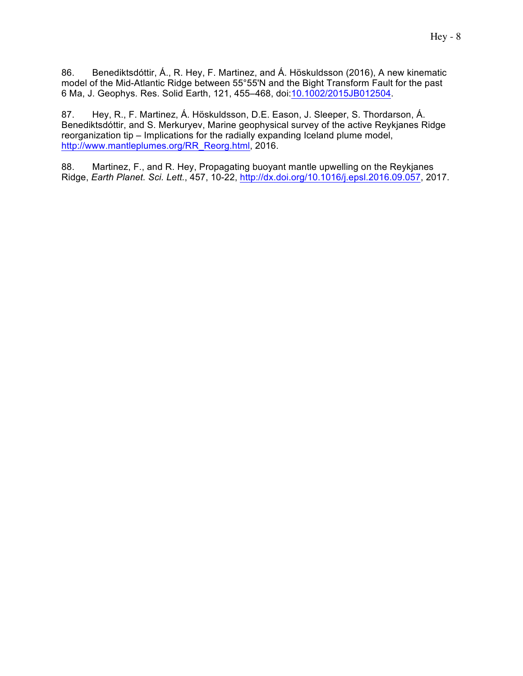86. Benediktsdóttir, Á., R. Hey, F. Martinez, and Á. Höskuldsson (2016), A new kinematic model of the Mid-Atlantic Ridge between 55°55'N and the Bight Transform Fault for the past 6 Ma, J. Geophys. Res. Solid Earth, 121, 455–468, doi:10.1002/2015JB012504.

87. Hey, R., F. Martinez, Á. Höskuldsson, D.E. Eason, J. Sleeper, S. Thordarson, Á. Benediktsdóttir, and S. Merkuryev, Marine geophysical survey of the active Reykjanes Ridge reorganization tip – Implications for the radially expanding Iceland plume model, http://www.mantleplumes.org/RR\_Reorg.html, 2016.

88. Martinez, F., and R. Hey, Propagating buoyant mantle upwelling on the Reykjanes Ridge, *Earth Planet. Sci. Lett.*, 457, 10-22, http://dx.doi.org/10.1016/j.epsl.2016.09.057, 2017.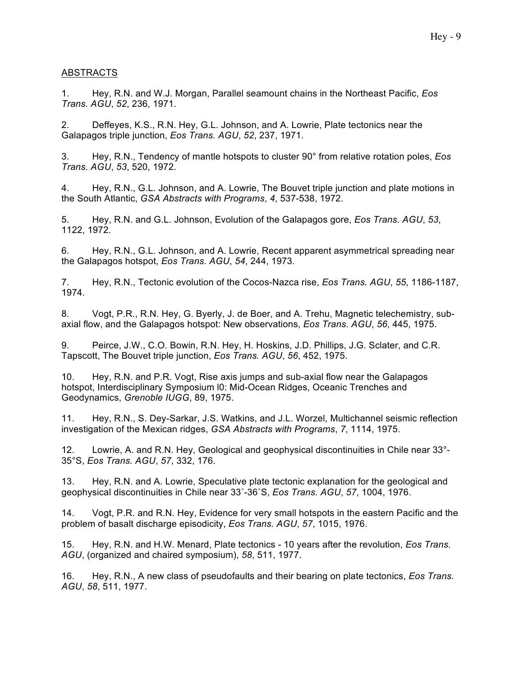# ABSTRACTS

1. Hey, R.N. and W.J. Morgan, Parallel seamount chains in the Northeast Pacific, *Eos Trans. AGU*, *52*, 236, 1971.

2. Deffeyes, K.S., R.N. Hey, G.L. Johnson, and A. Lowrie, Plate tectonics near the Galapagos triple junction, *Eos Trans. AGU*, *52*, 237, 1971.

3. Hey, R.N., Tendency of mantle hotspots to cluster 90° from relative rotation poles, *Eos Trans. AGU*, *53*, 520, 1972.

4. Hey, R.N., G.L. Johnson, and A. Lowrie, The Bouvet triple junction and plate motions in the South Atlantic, *GSA Abstracts with Programs*, *4*, 537-538, 1972.

5. Hey, R.N. and G.L. Johnson, Evolution of the Galapagos gore, *Eos Trans. AGU*, *53*, 1122, 1972.

6. Hey, R.N., G.L. Johnson, and A. Lowrie, Recent apparent asymmetrical spreading near the Galapagos hotspot, *Eos Trans. AGU*, *54*, 244, 1973.

7. Hey, R.N., Tectonic evolution of the Cocos-Nazca rise, *Eos Trans. AGU*, *55*, 1186-1187, 1974.

8. Vogt, P.R., R.N. Hey, G. Byerly, J. de Boer, and A. Trehu, Magnetic telechemistry, subaxial flow, and the Galapagos hotspot: New observations, *Eos Trans. AGU*, *56*, 445, 1975.

9. Peirce, J.W., C.O. Bowin, R.N. Hey, H. Hoskins, J.D. Phillips, J.G. Sclater, and C.R. Tapscott, The Bouvet triple junction, *Eos Trans. AGU*, *56*, 452, 1975.

10. Hey, R.N. and P.R. Vogt, Rise axis jumps and sub-axial flow near the Galapagos hotspot, Interdisciplinary Symposium l0: Mid-Ocean Ridges, Oceanic Trenches and Geodynamics, *Grenoble IUGG*, 89, 1975.

11. Hey, R.N., S. Dey-Sarkar, J.S. Watkins, and J.L. Worzel, Multichannel seismic reflection investigation of the Mexican ridges, *GSA Abstracts with Programs*, *7*, 1114, 1975.

12. Lowrie, A. and R.N. Hey, Geological and geophysical discontinuities in Chile near 33°- 35°S, *Eos Trans. AGU*, *57*, 332, 176.

13. Hey, R.N. and A. Lowrie, Speculative plate tectonic explanation for the geological and geophysical discontinuities in Chile near 33˚-36˚S, *Eos Trans. AGU*, *57*, 1004, 1976.

14. Vogt, P.R. and R.N. Hey, Evidence for very small hotspots in the eastern Pacific and the problem of basalt discharge episodicity, *Eos Trans. AGU*, *57*, 1015, 1976.

15. Hey, R.N. and H.W. Menard, Plate tectonics - 10 years after the revolution, *Eos Trans. AGU*, (organized and chaired symposium), *58*, 511, 1977.

16. Hey, R.N., A new class of pseudofaults and their bearing on plate tectonics, *Eos Trans. AGU*, *58*, 511, 1977.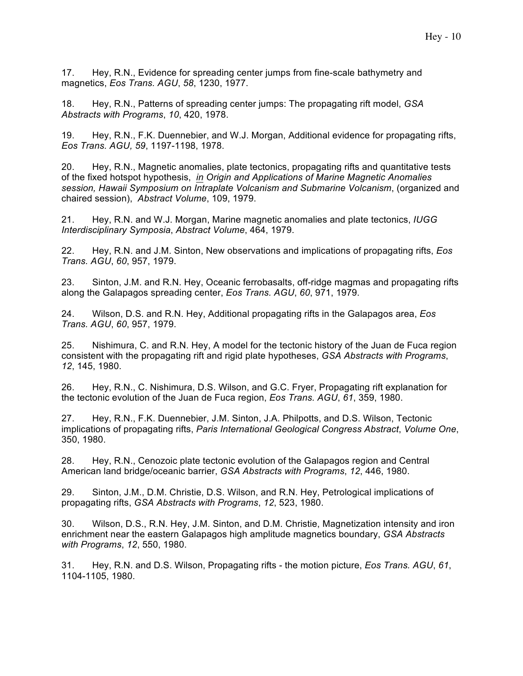17. Hey, R.N., Evidence for spreading center jumps from fine-scale bathymetry and magnetics, *Eos Trans. AGU*, *58*, 1230, 1977.

18. Hey, R.N., Patterns of spreading center jumps: The propagating rift model, *GSA Abstracts with Programs*, *10*, 420, 1978.

19. Hey, R.N., F.K. Duennebier, and W.J. Morgan, Additional evidence for propagating rifts, *Eos Trans. AGU, 59*, 1197-1198, 1978.

20. Hey, R.N., Magnetic anomalies, plate tectonics, propagating rifts and quantitative tests of the fixed hotspot hypothesis, *in Origin and Applications of Marine Magnetic Anomalies session, Hawaii Symposium on Intraplate Volcanism and Submarine Volcanism*, (organized and chaired session), *Abstract Volume*, 109, 1979.

21. Hey, R.N. and W.J. Morgan, Marine magnetic anomalies and plate tectonics, *IUGG Interdisciplinary Symposia*, *Abstract Volume*, 464, 1979.

22. Hey, R.N. and J.M. Sinton, New observations and implications of propagating rifts, *Eos Trans. AGU*, *60*, 957, 1979.

23. Sinton, J.M. and R.N. Hey, Oceanic ferrobasalts, off-ridge magmas and propagating rifts along the Galapagos spreading center, *Eos Trans. AGU*, *60*, 971, 1979.

24. Wilson, D.S. and R.N. Hey, Additional propagating rifts in the Galapagos area, *Eos Trans. AGU*, *60*, 957, 1979.

25. Nishimura, C. and R.N. Hey, A model for the tectonic history of the Juan de Fuca region consistent with the propagating rift and rigid plate hypotheses, *GSA Abstracts with Programs*, *12*, 145, 1980.

26. Hey, R.N., C. Nishimura, D.S. Wilson, and G.C. Fryer, Propagating rift explanation for the tectonic evolution of the Juan de Fuca region, *Eos Trans. AGU*, *61*, 359, 1980.

27. Hey, R.N., F.K. Duennebier, J.M. Sinton, J.A. Philpotts, and D.S. Wilson, Tectonic implications of propagating rifts, *Paris International Geological Congress Abstract*, *Volume One*, 350, 1980.

28. Hey, R.N., Cenozoic plate tectonic evolution of the Galapagos region and Central American land bridge/oceanic barrier, *GSA Abstracts with Programs*, *12*, 446, 1980.

29. Sinton, J.M., D.M. Christie, D.S. Wilson, and R.N. Hey, Petrological implications of propagating rifts, *GSA Abstracts with Programs*, *12*, 523, 1980.

30. Wilson, D.S., R.N. Hey, J.M. Sinton, and D.M. Christie, Magnetization intensity and iron enrichment near the eastern Galapagos high amplitude magnetics boundary, *GSA Abstracts with Programs*, *12*, 550, 1980.

31. Hey, R.N. and D.S. Wilson, Propagating rifts - the motion picture, *Eos Trans. AGU*, *61*, 1104-1105, 1980.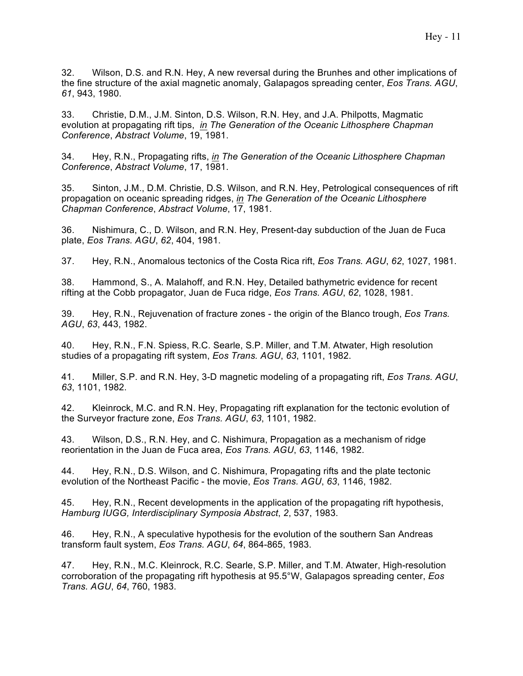32. Wilson, D.S. and R.N. Hey, A new reversal during the Brunhes and other implications of the fine structure of the axial magnetic anomaly, Galapagos spreading center, *Eos Trans. AGU*, *61*, 943, 1980.

33. Christie, D.M., J.M. Sinton, D.S. Wilson, R.N. Hey, and J.A. Philpotts, Magmatic evolution at propagating rift tips, *in The Generation of the Oceanic Lithosphere Chapman Conference*, *Abstract Volume*, 19, 1981.

34. Hey, R.N., Propagating rifts, *in The Generation of the Oceanic Lithosphere Chapman Conference*, *Abstract Volume*, 17, 1981.

35. Sinton, J.M., D.M. Christie, D.S. Wilson, and R.N. Hey, Petrological consequences of rift propagation on oceanic spreading ridges, *in The Generation of the Oceanic Lithosphere Chapman Conference*, *Abstract Volume*, 17, 1981.

36. Nishimura, C., D. Wilson, and R.N. Hey, Present-day subduction of the Juan de Fuca plate, *Eos Trans. AGU*, *62*, 404, 1981.

37. Hey, R.N., Anomalous tectonics of the Costa Rica rift, *Eos Trans. AGU*, *62*, 1027, 1981.

38. Hammond, S., A. Malahoff, and R.N. Hey, Detailed bathymetric evidence for recent rifting at the Cobb propagator, Juan de Fuca ridge, *Eos Trans. AGU*, *62*, 1028, 1981.

39. Hey, R.N., Rejuvenation of fracture zones - the origin of the Blanco trough, *Eos Trans. AGU*, *63*, 443, 1982.

40. Hey, R.N., F.N. Spiess, R.C. Searle, S.P. Miller, and T.M. Atwater, High resolution studies of a propagating rift system, *Eos Trans. AGU*, *63*, 1101, 1982.

41. Miller, S.P. and R.N. Hey, 3-D magnetic modeling of a propagating rift, *Eos Trans. AGU*, *63*, 1101, 1982.

42. Kleinrock, M.C. and R.N. Hey, Propagating rift explanation for the tectonic evolution of the Surveyor fracture zone, *Eos Trans. AGU*, *63*, 1101, 1982.

43. Wilson, D.S., R.N. Hey, and C. Nishimura, Propagation as a mechanism of ridge reorientation in the Juan de Fuca area, *Eos Trans. AGU*, *63*, 1146, 1982.

44. Hey, R.N., D.S. Wilson, and C. Nishimura, Propagating rifts and the plate tectonic evolution of the Northeast Pacific - the movie, *Eos Trans. AGU*, *63*, 1146, 1982.

45. Hey, R.N., Recent developments in the application of the propagating rift hypothesis, *Hamburg IUGG, Interdisciplinary Symposia Abstract*, *2*, 537, 1983.

46. Hey, R.N., A speculative hypothesis for the evolution of the southern San Andreas transform fault system, *Eos Trans. AGU*, *64*, 864-865, 1983.

47. Hey, R.N., M.C. Kleinrock, R.C. Searle, S.P. Miller, and T.M. Atwater, High-resolution corroboration of the propagating rift hypothesis at 95.5°W, Galapagos spreading center, *Eos Trans. AGU*, *64*, 760, 1983.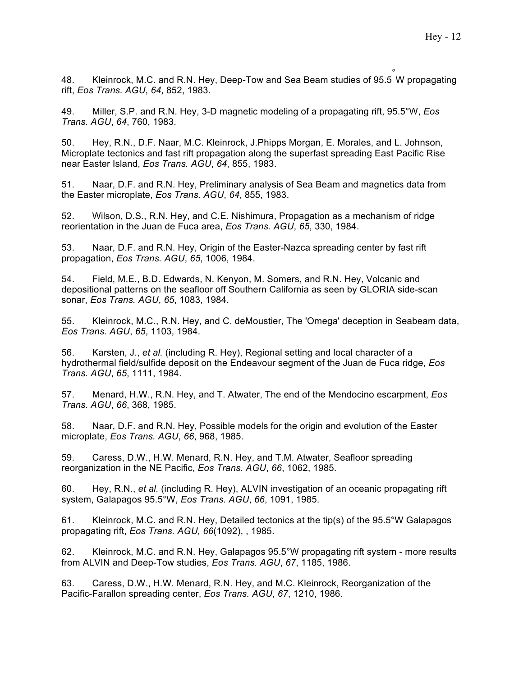48. Kleinrock, M.C. and R.N. Hey, Deep-Tow and Sea Beam studies of 95.5° W propagating rift, *Eos Trans. AGU*, *64*, 852, 1983.

49. Miller, S.P. and R.N. Hey, 3-D magnetic modeling of a propagating rift, 95.5°W, *Eos Trans. AGU*, *64*, 760, 1983.

50. Hey, R.N., D.F. Naar, M.C. Kleinrock, J.Phipps Morgan, E. Morales, and L. Johnson, Microplate tectonics and fast rift propagation along the superfast spreading East Pacific Rise near Easter Island, *Eos Trans. AGU*, *64*, 855, 1983.

51. Naar, D.F. and R.N. Hey, Preliminary analysis of Sea Beam and magnetics data from the Easter microplate, *Eos Trans. AGU*, *64*, 855, 1983.

52. Wilson, D.S., R.N. Hey, and C.E. Nishimura, Propagation as a mechanism of ridge reorientation in the Juan de Fuca area, *Eos Trans. AGU*, *65*, 330, 1984.

53. Naar, D.F. and R.N. Hey, Origin of the Easter-Nazca spreading center by fast rift propagation, *Eos Trans. AGU*, *65*, 1006, 1984.

54. Field, M.E., B.D. Edwards, N. Kenyon, M. Somers, and R.N. Hey, Volcanic and depositional patterns on the seafloor off Southern California as seen by GLORIA side-scan sonar, *Eos Trans. AGU*, *65*, 1083, 1984.

55. Kleinrock, M.C., R.N. Hey, and C. deMoustier, The 'Omega' deception in Seabeam data, *Eos Trans. AGU*, *65*, 1103, 1984.

56. Karsten, J., *et al.* (including R. Hey), Regional setting and local character of a hydrothermal field/sulfide deposit on the Endeavour segment of the Juan de Fuca ridge, *Eos Trans. AGU*, *65*, 1111, 1984.

57. Menard, H.W., R.N. Hey, and T. Atwater, The end of the Mendocino escarpment, *Eos Trans. AGU*, *66*, 368, 1985.

58. Naar, D.F. and R.N. Hey, Possible models for the origin and evolution of the Easter microplate, *Eos Trans. AGU*, *66*, 968, 1985.

59. Caress, D.W., H.W. Menard, R.N. Hey, and T.M. Atwater, Seafloor spreading reorganization in the NE Pacific, *Eos Trans. AGU*, *66*, 1062, 1985.

60. Hey, R.N., *et al.* (including R. Hey), ALVIN investigation of an oceanic propagating rift system, Galapagos 95.5°W, *Eos Trans. AGU*, *66*, 1091, 1985.

61. Kleinrock, M.C. and R.N. Hey, Detailed tectonics at the tip(s) of the 95.5°W Galapagos propagating rift, *Eos Trans. AGU, 66*(1092), , 1985.

62. Kleinrock, M.C. and R.N. Hey, Galapagos 95.5°W propagating rift system - more results from ALVIN and Deep-Tow studies, *Eos Trans. AGU*, *67*, 1185, 1986.

63. Caress, D.W., H.W. Menard, R.N. Hey, and M.C. Kleinrock, Reorganization of the Pacific-Farallon spreading center, *Eos Trans. AGU*, *67*, 1210, 1986.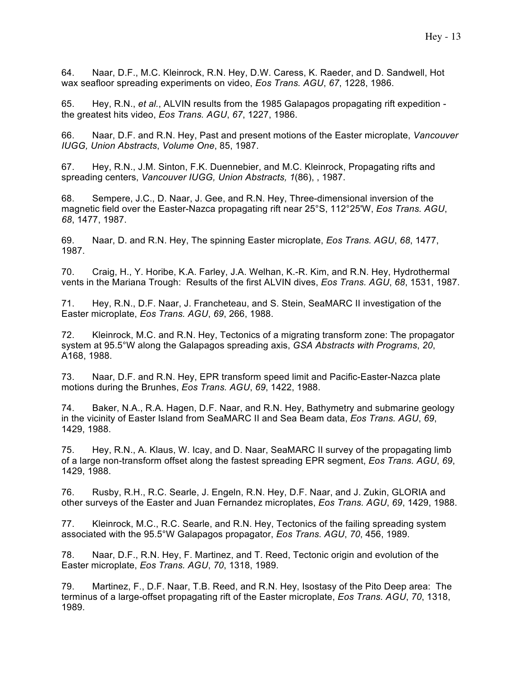64. Naar, D.F., M.C. Kleinrock, R.N. Hey, D.W. Caress, K. Raeder, and D. Sandwell, Hot wax seafloor spreading experiments on video, *Eos Trans. AGU*, *67*, 1228, 1986.

65. Hey, R.N., *et al.*, ALVIN results from the 1985 Galapagos propagating rift expedition the greatest hits video, *Eos Trans. AGU*, *67*, 1227, 1986.

66. Naar, D.F. and R.N. Hey, Past and present motions of the Easter microplate, *Vancouver IUGG, Union Abstracts*, *Volume One*, 85, 1987.

67. Hey, R.N., J.M. Sinton, F.K. Duennebier, and M.C. Kleinrock, Propagating rifts and spreading centers, *Vancouver IUGG, Union Abstracts, 1*(86), , 1987.

68. Sempere, J.C., D. Naar, J. Gee, and R.N. Hey, Three-dimensional inversion of the magnetic field over the Easter-Nazca propagating rift near 25°S, 112°25'W, *Eos Trans. AGU*, *68*, 1477, 1987.

69. Naar, D. and R.N. Hey, The spinning Easter microplate, *Eos Trans. AGU*, *68*, 1477, 1987.

70. Craig, H., Y. Horibe, K.A. Farley, J.A. Welhan, K.-R. Kim, and R.N. Hey, Hydrothermal vents in the Mariana Trough: Results of the first ALVIN dives, *Eos Trans. AGU*, *68*, 1531, 1987.

71. Hey, R.N., D.F. Naar, J. Francheteau, and S. Stein, SeaMARC II investigation of the Easter microplate, *Eos Trans. AGU*, *69*, 266, 1988.

72. Kleinrock, M.C. and R.N. Hey, Tectonics of a migrating transform zone: The propagator system at 95.5°W along the Galapagos spreading axis, *GSA Abstracts with Programs*, *20*, A168, 1988.

73. Naar, D.F. and R.N. Hey, EPR transform speed limit and Pacific-Easter-Nazca plate motions during the Brunhes, *Eos Trans. AGU*, *69*, 1422, 1988.

74. Baker, N.A., R.A. Hagen, D.F. Naar, and R.N. Hey, Bathymetry and submarine geology in the vicinity of Easter Island from SeaMARC II and Sea Beam data, *Eos Trans. AGU*, *69*, 1429, 1988.

75. Hey, R.N., A. Klaus, W. Icay, and D. Naar, SeaMARC II survey of the propagating limb of a large non-transform offset along the fastest spreading EPR segment, *Eos Trans. AGU*, *69*, 1429, 1988.

76. Rusby, R.H., R.C. Searle, J. Engeln, R.N. Hey, D.F. Naar, and J. Zukin, GLORIA and other surveys of the Easter and Juan Fernandez microplates, *Eos Trans. AGU*, *69*, 1429, 1988.

77. Kleinrock, M.C., R.C. Searle, and R.N. Hey, Tectonics of the failing spreading system associated with the 95.5°W Galapagos propagator, *Eos Trans. AGU*, *70*, 456, 1989.

78. Naar, D.F., R.N. Hey, F. Martinez, and T. Reed, Tectonic origin and evolution of the Easter microplate, *Eos Trans. AGU*, *70*, 1318, 1989.

79. Martinez, F., D.F. Naar, T.B. Reed, and R.N. Hey, Isostasy of the Pito Deep area: The terminus of a large-offset propagating rift of the Easter microplate, *Eos Trans. AGU*, *70*, 1318, 1989.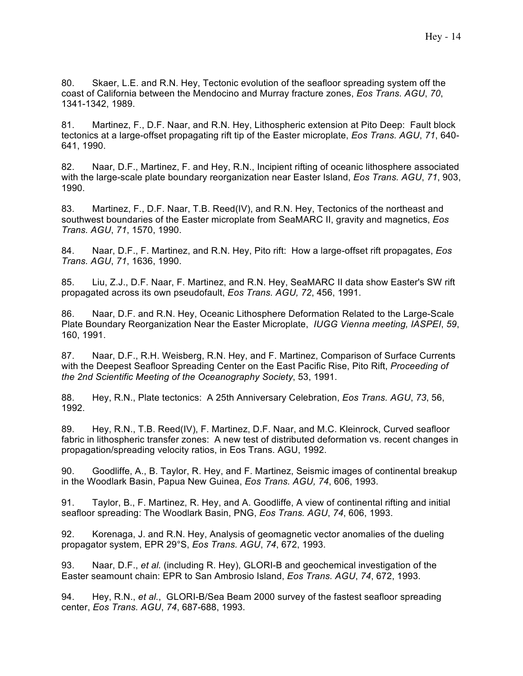80. Skaer, L.E. and R.N. Hey, Tectonic evolution of the seafloor spreading system off the coast of California between the Mendocino and Murray fracture zones, *Eos Trans. AGU*, *70*, 1341-1342, 1989.

81. Martinez, F., D.F. Naar, and R.N. Hey, Lithospheric extension at Pito Deep: Fault block tectonics at a large-offset propagating rift tip of the Easter microplate, *Eos Trans. AGU*, *71*, 640- 641, 1990.

82. Naar, D.F., Martinez, F. and Hey, R.N., Incipient rifting of oceanic lithosphere associated with the large-scale plate boundary reorganization near Easter Island, *Eos Trans. AGU*, *71*, 903, 1990.

83. Martinez, F., D.F. Naar, T.B. Reed(IV), and R.N. Hey, Tectonics of the northeast and southwest boundaries of the Easter microplate from SeaMARC II, gravity and magnetics, *Eos Trans. AGU*, *71*, 1570, 1990.

84. Naar, D.F., F. Martinez, and R.N. Hey, Pito rift: How a large-offset rift propagates, *Eos Trans. AGU*, *71*, 1636, 1990.

85. Liu, Z.J., D.F. Naar, F. Martinez, and R.N. Hey, SeaMARC II data show Easter's SW rift propagated across its own pseudofault, *Eos Trans. AGU, 72*, 456, 1991.

86. Naar, D.F. and R.N. Hey, Oceanic Lithosphere Deformation Related to the Large-Scale Plate Boundary Reorganization Near the Easter Microplate, *IUGG Vienna meeting, IASPEI*, *59*, 160, 1991.

87. Naar, D.F., R.H. Weisberg, R.N. Hey, and F. Martinez, Comparison of Surface Currents with the Deepest Seafloor Spreading Center on the East Pacific Rise, Pito Rift, *Proceeding of the 2nd Scientific Meeting of the Oceanography Society*, 53, 1991.

88. Hey, R.N., Plate tectonics: A 25th Anniversary Celebration, *Eos Trans. AGU*, *73*, 56, 1992.

89. Hey, R.N., T.B. Reed(IV), F. Martinez, D.F. Naar, and M.C. Kleinrock, Curved seafloor fabric in lithospheric transfer zones: A new test of distributed deformation vs. recent changes in propagation/spreading velocity ratios, in Eos Trans. AGU, 1992.

90. Goodliffe, A., B. Taylor, R. Hey, and F. Martinez, Seismic images of continental breakup in the Woodlark Basin, Papua New Guinea, *Eos Trans. AGU, 74*, 606, 1993.

91. Taylor, B., F. Martinez, R. Hey, and A. Goodliffe, A view of continental rifting and initial seafloor spreading: The Woodlark Basin, PNG, *Eos Trans. AGU*, *74*, 606, 1993.

92. Korenaga, J. and R.N. Hey, Analysis of geomagnetic vector anomalies of the dueling propagator system, EPR 29°S, *Eos Trans. AGU*, *74*, 672, 1993.

93. Naar, D.F., *et al.* (including R. Hey), GLORI-B and geochemical investigation of the Easter seamount chain: EPR to San Ambrosio Island, *Eos Trans. AGU*, *74*, 672, 1993.

94. Hey, R.N., *et al.*, GLORI-B/Sea Beam 2000 survey of the fastest seafloor spreading center, *Eos Trans. AGU*, *74*, 687-688, 1993.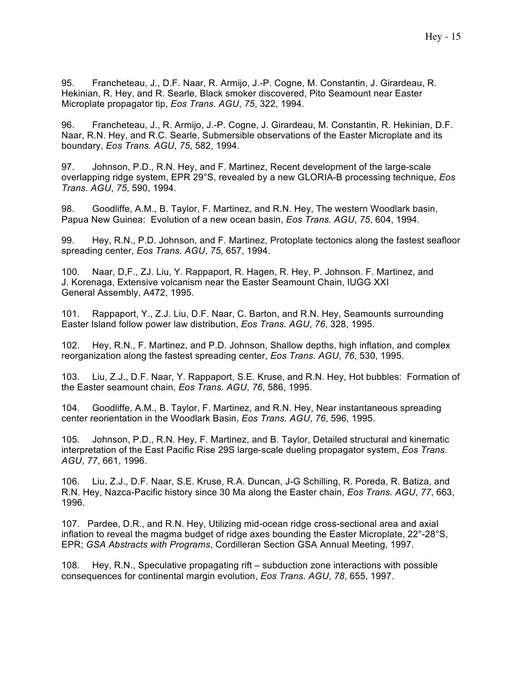95. Francheteau, J., D.F. Naar, R. Armijo, J.-P. Cogne, M. Constantin, J. Girardeau, R. Hekinian, R. Hey, and R. Searle, Black smoker discovered, Pito Seamount near Easter Microplate propagator tip, *Eos Trans. AGU*, *75*, 322, 1994.

96. Francheteau, J., R. Armijo, J.-P. Cogne, J. Girardeau, M. Constantin, R. Hekinian, D.F. Naar, R.N. Hey, and R.C. Searle, Submersible observations of the Easter Microplate and its boundary, *Eos Trans. AGU*, *75*, 582, 1994.

97. Johnson, P.D., R.N. Hey, and F. Martinez, Recent development of the large-scale overlapping ridge system, EPR 29°S, revealed by a new GLORIA-B processing technique, *Eos Trans. AGU*, *75*, 590, 1994.

98. Goodliffe, A.M., B. Taylor, F. Martinez, and R.N. Hey, The western Woodlark basin, Papua New Guinea: Evolution of a new ocean basin, *Eos Trans. AGU*, *75*, 604, 1994.

99. Hey, R.N., P.D. Johnson, and F. Martinez, Protoplate tectonics along the fastest seafloor spreading center, *Eos Trans. AGU*, *75*, 657, 1994.

100. Naar, D,F., ZJ. Liu, Y. Rappaport, R. Hagen, R. Hey, P. Johnson. F. Martinez, and J. Korenaga, Extensive volcanism near the Easter Seamount Chain, IUGG XXI General Assembly, A472, 1995.

101. Rappaport, Y., Z.J. Liu, D.F. Naar, C. Barton, and R.N. Hey, Seamounts surrounding Easter Island follow power law distribution, *Eos Trans. AGU*, *76*, 328, 1995.

102. Hey, R.N., F. Martinez, and P.D. Johnson, Shallow depths, high inflation, and complex reorganization along the fastest spreading center, *Eos Trans. AGU*, *76*, 530, 1995.

103. Liu, Z.J., D.F. Naar, Y. Rappaport, S.E. Kruse, and R.N. Hey, Hot bubbles: Formation of the Easter seamount chain, *Eos Trans. AGU*, *76*, 586, 1995.

104. Goodliffe, A.M., B. Taylor, F. Martinez, and R.N. Hey, Near instantaneous spreading center reorientation in the Woodlark Basin, *Eos Trans. AGU*, *76*, 596, 1995.

105. Johnson, P.D., R.N. Hey, F. Martinez, and B. Taylor, Detailed structural and kinematic interpretation of the East Pacific Rise 29S large-scale dueling propagator system, *Eos Trans. AGU*, *77*, 661, 1996.

106. Liu, Z.J., D.F. Naar, S.E. Kruse, R.A. Duncan, J-G Schilling, R. Poreda, R. Batiza, and R.N. Hey, Nazca-Pacific history since 30 Ma along the Easter chain, *Eos Trans. AGU*, *77*, 663, 1996.

107. Pardee, D.R., and R.N. Hey, Utilizing mid-ocean ridge cross-sectional area and axial inflation to reveal the magma budget of ridge axes bounding the Easter Microplate, 22°-28°S, EPR; *GSA Abstracts with Programs*, Cordilleran Section GSA Annual Meeting, 1997.

108. Hey, R.N., Speculative propagating rift – subduction zone interactions with possible consequences for continental margin evolution, *Eos Trans. AGU*, *78*, 655, 1997.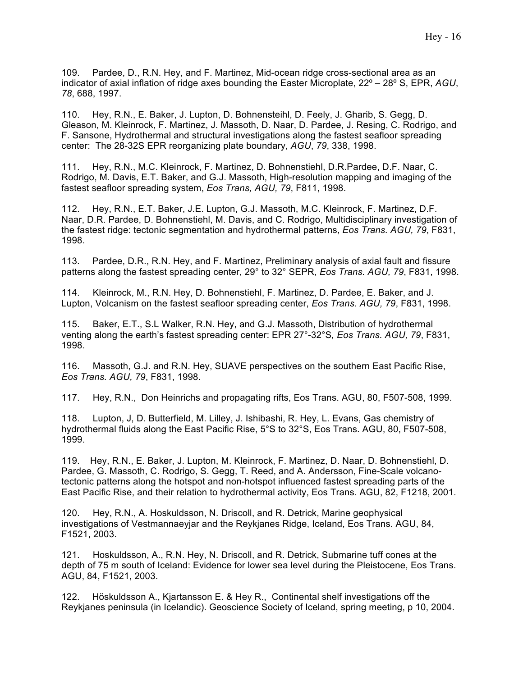109. Pardee, D., R.N. Hey, and F. Martinez, Mid-ocean ridge cross-sectional area as an indicator of axial inflation of ridge axes bounding the Easter Microplate, 22º – 28º S, EPR, *AGU*, *78*, 688, 1997.

110. Hey, R.N., E. Baker, J. Lupton, D. Bohnensteihl, D. Feely, J. Gharib, S. Gegg, D. Gleason, M. Kleinrock, F. Martinez, J. Massoth, D. Naar, D. Pardee, J. Resing, C. Rodrigo, and F. Sansone, Hydrothermal and structural investigations along the fastest seafloor spreading center: The 28-32S EPR reorganizing plate boundary, *AGU*, *79*, 338, 1998.

111. Hey, R.N., M.C. Kleinrock, F. Martinez, D. Bohnenstiehl, D.R.Pardee, D.F. Naar, C. Rodrigo, M. Davis, E.T. Baker, and G.J. Massoth, High-resolution mapping and imaging of the fastest seafloor spreading system, *Eos Trans, AGU, 79*, F811, 1998.

112. Hey, R.N., E.T. Baker, J.E. Lupton, G.J. Massoth, M.C. Kleinrock, F. Martinez, D.F. Naar, D.R. Pardee, D. Bohnenstiehl, M. Davis, and C. Rodrigo, Multidisciplinary investigation of the fastest ridge: tectonic segmentation and hydrothermal patterns, *Eos Trans. AGU, 79*, F831, 1998.

113. Pardee, D.R., R.N. Hey, and F. Martinez, Preliminary analysis of axial fault and fissure patterns along the fastest spreading center, 29° to 32° SEPR*, Eos Trans. AGU, 79*, F831, 1998.

114. Kleinrock, M., R.N. Hey, D. Bohnenstiehl, F. Martinez, D. Pardee, E. Baker, and J. Lupton, Volcanism on the fastest seafloor spreading center, *Eos Trans. AGU, 79*, F831, 1998.

115. Baker, E.T., S.L Walker, R.N. Hey, and G.J. Massoth, Distribution of hydrothermal venting along the earth's fastest spreading center: EPR 27°-32°S*, Eos Trans. AGU, 79*, F831, 1998.

116. Massoth, G.J. and R.N. Hey, SUAVE perspectives on the southern East Pacific Rise, *Eos Trans. AGU, 79*, F831, 1998.

117. Hey, R.N., Don Heinrichs and propagating rifts, Eos Trans. AGU, 80, F507-508, 1999.

118. Lupton, J, D. Butterfield, M. Lilley, J. Ishibashi, R. Hey, L. Evans, Gas chemistry of hydrothermal fluids along the East Pacific Rise, 5°S to 32°S, Eos Trans. AGU, 80, F507-508, 1999.

119. Hey, R.N., E. Baker, J. Lupton, M. Kleinrock, F. Martinez, D. Naar, D. Bohnenstiehl, D. Pardee, G. Massoth, C. Rodrigo, S. Gegg, T. Reed, and A. Andersson, Fine-Scale volcanotectonic patterns along the hotspot and non-hotspot influenced fastest spreading parts of the East Pacific Rise, and their relation to hydrothermal activity, Eos Trans. AGU, 82, F1218, 2001.

120. Hey, R.N., A. Hoskuldsson, N. Driscoll, and R. Detrick, Marine geophysical investigations of Vestmannaeyjar and the Reykjanes Ridge, Iceland, Eos Trans. AGU, 84, F1521, 2003.

121. Hoskuldsson, A., R.N. Hey, N. Driscoll, and R. Detrick, Submarine tuff cones at the depth of 75 m south of Iceland: Evidence for lower sea level during the Pleistocene, Eos Trans. AGU, 84, F1521, 2003.

122. Höskuldsson A., Kjartansson E. & Hey R., Continental shelf investigations off the Reykjanes peninsula (in Icelandic). Geoscience Society of Iceland, spring meeting, p 10, 2004.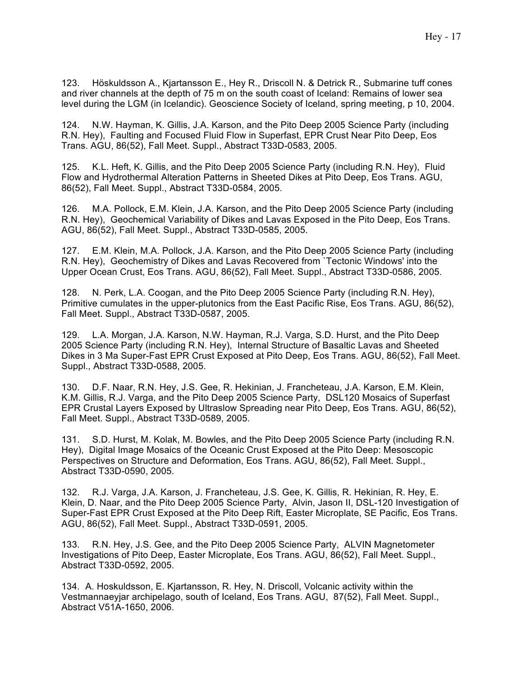123. Höskuldsson A., Kjartansson E., Hey R., Driscoll N. & Detrick R., Submarine tuff cones and river channels at the depth of 75 m on the south coast of Iceland: Remains of lower sea level during the LGM (in Icelandic). Geoscience Society of Iceland, spring meeting, p 10, 2004.

124. N.W. Hayman, K. Gillis, J.A. Karson, and the Pito Deep 2005 Science Party (including R.N. Hey), Faulting and Focused Fluid Flow in Superfast, EPR Crust Near Pito Deep, Eos Trans. AGU, 86(52), Fall Meet. Suppl., Abstract T33D-0583, 2005.

125. K.L. Heft, K. Gillis, and the Pito Deep 2005 Science Party (including R.N. Hey), Fluid Flow and Hydrothermal Alteration Patterns in Sheeted Dikes at Pito Deep, Eos Trans. AGU, 86(52), Fall Meet. Suppl., Abstract T33D-0584, 2005.

126. M.A. Pollock, E.M. Klein, J.A. Karson, and the Pito Deep 2005 Science Party (including R.N. Hey), Geochemical Variability of Dikes and Lavas Exposed in the Pito Deep, Eos Trans. AGU, 86(52), Fall Meet. Suppl., Abstract T33D-0585, 2005.

127. E.M. Klein, M.A. Pollock, J.A. Karson, and the Pito Deep 2005 Science Party (including R.N. Hey), Geochemistry of Dikes and Lavas Recovered from `Tectonic Windows' into the Upper Ocean Crust, Eos Trans. AGU, 86(52), Fall Meet. Suppl., Abstract T33D-0586, 2005.

128. N. Perk, L.A. Coogan, and the Pito Deep 2005 Science Party (including R.N. Hey), Primitive cumulates in the upper-plutonics from the East Pacific Rise, Eos Trans. AGU, 86(52), Fall Meet. Suppl., Abstract T33D-0587, 2005.

129. L.A. Morgan, J.A. Karson, N.W. Hayman, R.J. Varga, S.D. Hurst, and the Pito Deep 2005 Science Party (including R.N. Hey), Internal Structure of Basaltic Lavas and Sheeted Dikes in 3 Ma Super-Fast EPR Crust Exposed at Pito Deep, Eos Trans. AGU, 86(52), Fall Meet. Suppl., Abstract T33D-0588, 2005.

130. D.F. Naar, R.N. Hey, J.S. Gee, R. Hekinian, J. Francheteau, J.A. Karson, E.M. Klein, K.M. Gillis, R.J. Varga, and the Pito Deep 2005 Science Party, DSL120 Mosaics of Superfast EPR Crustal Layers Exposed by Ultraslow Spreading near Pito Deep, Eos Trans. AGU, 86(52), Fall Meet. Suppl., Abstract T33D-0589, 2005.

131. S.D. Hurst, M. Kolak, M. Bowles, and the Pito Deep 2005 Science Party (including R.N. Hey), Digital Image Mosaics of the Oceanic Crust Exposed at the Pito Deep: Mesoscopic Perspectives on Structure and Deformation, Eos Trans. AGU, 86(52), Fall Meet. Suppl., Abstract T33D-0590, 2005.

132. R.J. Varga, J.A. Karson, J. Francheteau, J.S. Gee, K. Gillis, R. Hekinian, R. Hey, E. Klein, D. Naar, and the Pito Deep 2005 Science Party, Alvin, Jason II, DSL-120 Investigation of Super-Fast EPR Crust Exposed at the Pito Deep Rift, Easter Microplate, SE Pacific, Eos Trans. AGU, 86(52), Fall Meet. Suppl., Abstract T33D-0591, 2005.

133. R.N. Hey, J.S. Gee, and the Pito Deep 2005 Science Party, ALVIN Magnetometer Investigations of Pito Deep, Easter Microplate, Eos Trans. AGU, 86(52), Fall Meet. Suppl., Abstract T33D-0592, 2005.

134. A. Hoskuldsson, E. Kjartansson, R. Hey, N. Driscoll, Volcanic activity within the Vestmannaeyjar archipelago, south of Iceland, Eos Trans. AGU, 87(52), Fall Meet. Suppl., Abstract V51A-1650, 2006.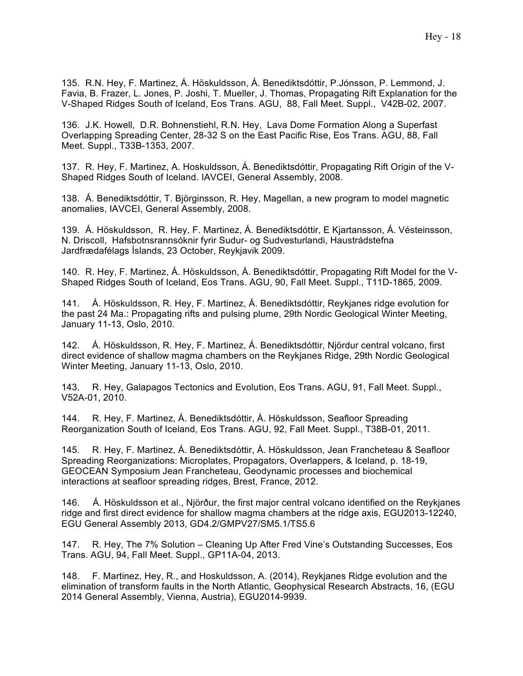135. R.N. Hey, F. Martinez, Á. Höskuldsson, Á. Benediktsdóttir, P.Jónsson, P. Lemmond, J. Favia, B. Frazer, L. Jones, P. Joshi, T. Mueller, J. Thomas, Propagating Rift Explanation for the V-Shaped Ridges South of Iceland, Eos Trans. AGU, 88, Fall Meet. Suppl., V42B-02, 2007.

136. J.K. Howell, D.R. Bohnenstiehl, R.N. Hey, Lava Dome Formation Along a Superfast Overlapping Spreading Center, 28-32 S on the East Pacific Rise, Eos Trans. AGU, 88, Fall Meet. Suppl., T33B-1353, 2007.

137. R. Hey, F. Martinez, A. Hoskuldsson, Á. Benediktsdóttir, Propagating Rift Origin of the V-Shaped Ridges South of Iceland. IAVCEI, General Assembly, 2008.

138. Á. Benediktsdóttir, T. Björginsson, R. Hey, Magellan, a new program to model magnetic anomalies, IAVCEI, General Assembly, 2008.

139. Á. Höskuldsson, R. Hey, F. Martinez, Á. Benediktsdóttir, E Kjartansson, Á. Vésteinsson, N. Driscoll, Hafsbotnsrannsóknir fyrir Sudur- og Sudvesturlandi, Haustrádstefna Jardfrædafélags Íslands, 23 October, Reykjavik 2009.

140. R. Hey, F. Martinez, Á. Höskuldsson, Á. Benediktsdóttir, Propagating Rift Model for the V-Shaped Ridges South of Iceland, Eos Trans. AGU, 90, Fall Meet. Suppl., T11D-1865, 2009.

141. Á. Höskuldsson, R. Hey, F. Martinez, Á. Benediktsdóttir, Reykjanes ridge evolution for the past 24 Ma.: Propagating rifts and pulsing plume, 29th Nordic Geological Winter Meeting, January 11-13, Oslo, 2010.

142. Á. Höskuldsson, R. Hey, F. Martinez, Á. Benediktsdóttir, Njördur central volcano, first direct evidence of shallow magma chambers on the Reykjanes Ridge, 29th Nordic Geological Winter Meeting, January 11-13, Oslo, 2010.

143. R. Hey, Galapagos Tectonics and Evolution, Eos Trans. AGU, 91, Fall Meet. Suppl., V52A-01, 2010.

144. R. Hey, F. Martinez, Á. Benediktsdóttir, Á. Höskuldsson, Seafloor Spreading Reorganization South of Iceland, Eos Trans. AGU, 92, Fall Meet. Suppl., T38B-01, 2011.

145. R. Hey, F. Martinez, Á. Benediktsdóttir, Á. Höskuldsson, Jean Francheteau & Seafloor Spreading Reorganizations: Microplates, Propagators, Overlappers, & Iceland, p. 18-19, GEOCEAN Symposium Jean Francheteau, Geodynamic processes and biochemical interactions at seafloor spreading ridges, Brest, France, 2012.

146. Á. Höskuldsson et al., Njörður, the first major central volcano identified on the Reykjanes ridge and first direct evidence for shallow magma chambers at the ridge axis, EGU2013-12240, EGU General Assembly 2013, GD4.2/GMPV27/SM5.1/TS5.6

147. R. Hey, The 7% Solution – Cleaning Up After Fred Vine's Outstanding Successes, Eos Trans. AGU, 94, Fall Meet. Suppl., GP11A-04, 2013.

148. F. Martinez, Hey, R., and Hoskuldsson, A. (2014), Reykjanes Ridge evolution and the elimination of transform faults in the North Atlantic, Geophysical Research Abstracts, 16, (EGU 2014 General Assembly, Vienna, Austria), EGU2014-9939.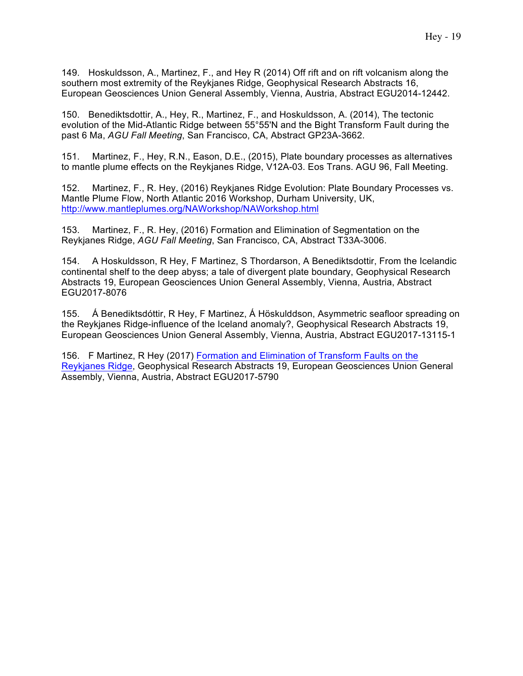149. Hoskuldsson, A., Martinez, F., and Hey R (2014) Off rift and on rift volcanism along the southern most extremity of the Reykjanes Ridge, Geophysical Research Abstracts 16, European Geosciences Union General Assembly, Vienna, Austria, Abstract EGU2014-12442.

150. Benediktsdottir, A., Hey, R., Martinez, F., and Hoskuldsson, A. (2014), The tectonic evolution of the Mid-Atlantic Ridge between 55°55'N and the Bight Transform Fault during the past 6 Ma, *AGU Fall Meeting*, San Francisco, CA, Abstract GP23A-3662.

151. Martinez, F., Hey, R.N., Eason, D.E., (2015), Plate boundary processes as alternatives to mantle plume effects on the Reykjanes Ridge, V12A-03. Eos Trans. AGU 96, Fall Meeting.

152. Martinez, F., R. Hey, (2016) Reykjanes Ridge Evolution: Plate Boundary Processes vs. Mantle Plume Flow, North Atlantic 2016 Workshop, Durham University, UK, http://www.mantleplumes.org/NAWorkshop/NAWorkshop.html

153. Martinez, F., R. Hey, (2016) Formation and Elimination of Segmentation on the Reykjanes Ridge, *AGU Fall Meeting*, San Francisco, CA, Abstract T33A-3006.

154. A Hoskuldsson, R Hey, F Martinez, S Thordarson, A Benediktsdottir, From the Icelandic continental shelf to the deep abyss; a tale of divergent plate boundary, Geophysical Research Abstracts 19, European Geosciences Union General Assembly, Vienna, Austria, Abstract EGU2017-8076

155. Á Benediktsdóttir, R Hey, F Martinez, Á Höskulddson, Asymmetric seafloor spreading on the Reykjanes Ridge-influence of the Iceland anomaly?, Geophysical Research Abstracts 19, European Geosciences Union General Assembly, Vienna, Austria, Abstract EGU2017-13115-1

156. F Martinez, R Hey (2017) Formation and Elimination of Transform Faults on the Reykjanes Ridge, Geophysical Research Abstracts 19, European Geosciences Union General Assembly, Vienna, Austria, Abstract EGU2017-5790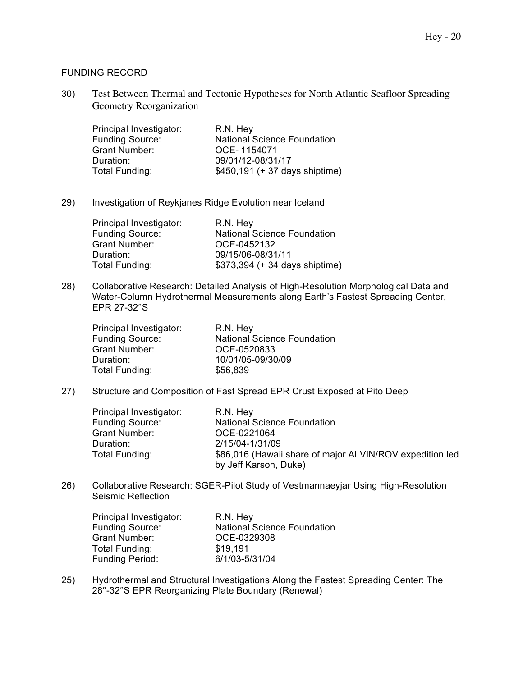### FUNDING RECORD

30) Test Between Thermal and Tectonic Hypotheses for North Atlantic Seafloor Spreading Geometry Reorganization

| Principal Investigator: | R.N. Hey                           |
|-------------------------|------------------------------------|
| <b>Funding Source:</b>  | <b>National Science Foundation</b> |
| <b>Grant Number:</b>    | OCE-1154071                        |
| Duration:               | 09/01/12-08/31/17                  |
| Total Funding:          | \$450,191 (+ 37 days shiptime)     |

29) Investigation of Reykjanes Ridge Evolution near Iceland

| Principal Investigator: | R.N. Hey                           |
|-------------------------|------------------------------------|
| <b>Funding Source:</b>  | <b>National Science Foundation</b> |
| <b>Grant Number:</b>    | OCE-0452132                        |
| Duration:               | 09/15/06-08/31/11                  |
| Total Funding:          | \$373,394 (+ 34 days shiptime)     |

28) Collaborative Research: Detailed Analysis of High-Resolution Morphological Data and Water-Column Hydrothermal Measurements along Earth's Fastest Spreading Center, EPR 27-32°S

| Principal Investigator: | R.N. Hey                           |
|-------------------------|------------------------------------|
| <b>Funding Source:</b>  | <b>National Science Foundation</b> |
| <b>Grant Number:</b>    | OCE-0520833                        |
| Duration:               | 10/01/05-09/30/09                  |
| Total Funding:          | \$56,839                           |

27) Structure and Composition of Fast Spread EPR Crust Exposed at Pito Deep

| Principal Investigator: | R.N. Hey                                                                          |
|-------------------------|-----------------------------------------------------------------------------------|
| <b>Funding Source:</b>  | <b>National Science Foundation</b>                                                |
| Grant Number:           | OCE-0221064                                                                       |
| Duration:               | 2/15/04-1/31/09                                                                   |
| Total Funding:          | \$86,016 (Hawaii share of major ALVIN/ROV expedition led<br>by Jeff Karson, Duke) |

26) Collaborative Research: SGER-Pilot Study of Vestmannaeyjar Using High-Resolution Seismic Reflection

| Principal Investigator: | R.N. Hey                           |
|-------------------------|------------------------------------|
| <b>Funding Source:</b>  | <b>National Science Foundation</b> |
| <b>Grant Number:</b>    | OCE-0329308                        |
| Total Funding:          | \$19.191                           |
| <b>Funding Period:</b>  | 6/1/03-5/31/04                     |

25) Hydrothermal and Structural Investigations Along the Fastest Spreading Center: The 28°-32°S EPR Reorganizing Plate Boundary (Renewal)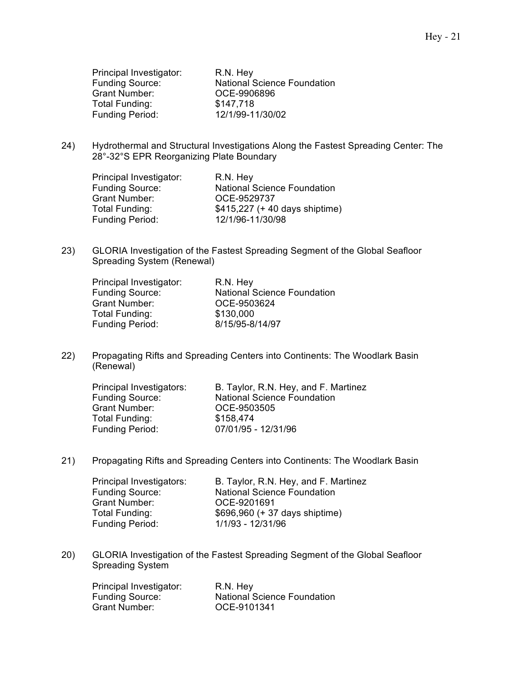| R.N. Hey                           |
|------------------------------------|
| <b>National Science Foundation</b> |
| OCE-9906896                        |
| \$147,718                          |
| 12/1/99-11/30/02                   |
|                                    |

24) Hydrothermal and Structural Investigations Along the Fastest Spreading Center: The 28°-32°S EPR Reorganizing Plate Boundary

| Principal Investigator: | R.N. Hey                           |
|-------------------------|------------------------------------|
| <b>Funding Source:</b>  | <b>National Science Foundation</b> |
| <b>Grant Number:</b>    | OCE-9529737                        |
| Total Funding:          | \$415,227 (+ 40 days shiptime)     |
| Funding Period:         | 12/1/96-11/30/98                   |

23) GLORIA Investigation of the Fastest Spreading Segment of the Global Seafloor Spreading System (Renewal)

| Principal Investigator: | R.N. Hey                           |
|-------------------------|------------------------------------|
| <b>Funding Source:</b>  | <b>National Science Foundation</b> |
| <b>Grant Number:</b>    | OCE-9503624                        |
| Total Funding:          | \$130,000                          |
| Funding Period:         | 8/15/95-8/14/97                    |

22) Propagating Rifts and Spreading Centers into Continents: The Woodlark Basin (Renewal)

| Principal Investigators: | B. Taylor, R.N. Hey, and F. Martinez |
|--------------------------|--------------------------------------|
| <b>Funding Source:</b>   | <b>National Science Foundation</b>   |
| <b>Grant Number:</b>     | OCE-9503505                          |
| Total Funding:           | \$158.474                            |
| Funding Period:          | 07/01/95 - 12/31/96                  |

21) Propagating Rifts and Spreading Centers into Continents: The Woodlark Basin

| Principal Investigators: | B. Taylor, R.N. Hey, and F. Martinez |
|--------------------------|--------------------------------------|
| <b>Funding Source:</b>   | <b>National Science Foundation</b>   |
| Grant Number:            | OCE-9201691                          |
| Total Funding:           | \$696,960 (+ 37 days shiptime)       |
| <b>Funding Period:</b>   | 1/1/93 - 12/31/96                    |

20) GLORIA Investigation of the Fastest Spreading Segment of the Global Seafloor Spreading System

| Principal Investigator: | R.N. Hey                           |
|-------------------------|------------------------------------|
| <b>Funding Source:</b>  | <b>National Science Foundation</b> |
| Grant Number:           | OCE-9101341                        |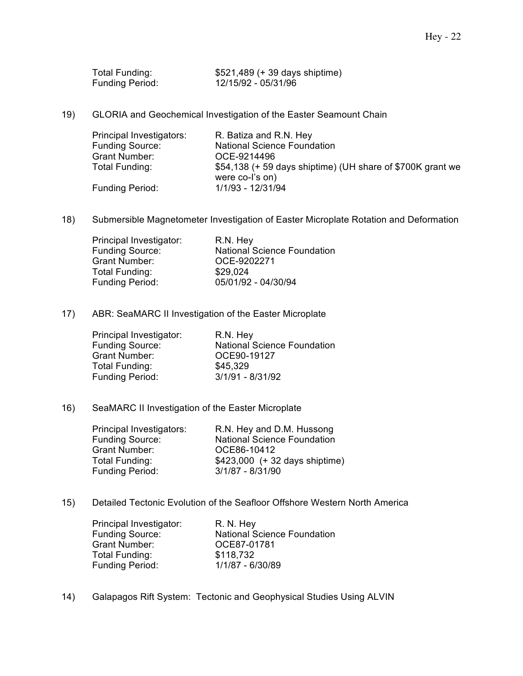| Total Funding:         | \$521,489 (+ 39 days shiptime) |
|------------------------|--------------------------------|
| <b>Funding Period:</b> | 12/15/92 - 05/31/96            |

19) GLORIA and Geochemical Investigation of the Easter Seamount Chain

| Principal Investigators: | R. Batiza and R.N. Hey                                                        |
|--------------------------|-------------------------------------------------------------------------------|
| <b>Funding Source:</b>   | <b>National Science Foundation</b>                                            |
| Grant Number:            | OCE-9214496                                                                   |
| Total Funding:           | \$54,138 (+ 59 days shiptime) (UH share of \$700K grant we<br>were co-l's on) |
| <b>Funding Period:</b>   | 1/1/93 - 12/31/94                                                             |

18) Submersible Magnetometer Investigation of Easter Microplate Rotation and Deformation

| Principal Investigator: | R.N. Hey                           |
|-------------------------|------------------------------------|
| <b>Funding Source:</b>  | <b>National Science Foundation</b> |
| <b>Grant Number:</b>    | OCE-9202271                        |
| Total Funding:          | \$29.024                           |
| <b>Funding Period:</b>  | 05/01/92 - 04/30/94                |

17) ABR: SeaMARC II Investigation of the Easter Microplate

| Principal Investigator: | R.N. Hey                           |
|-------------------------|------------------------------------|
| <b>Funding Source:</b>  | <b>National Science Foundation</b> |
| <b>Grant Number:</b>    | OCE90-19127                        |
| Total Funding:          | \$45,329                           |
| <b>Funding Period:</b>  | $3/1/91 - 8/31/92$                 |

#### 16) SeaMARC II Investigation of the Easter Microplate

| Principal Investigators: | R.N. Hey and D.M. Hussong          |
|--------------------------|------------------------------------|
| <b>Funding Source:</b>   | <b>National Science Foundation</b> |
| <b>Grant Number:</b>     | OCE86-10412                        |
| Total Funding:           | $$423,000$ (+ 32 days shiptime)    |
| <b>Funding Period:</b>   | $3/1/87 - 8/31/90$                 |

15) Detailed Tectonic Evolution of the Seafloor Offshore Western North America

| Principal Investigator: | R. N. Hey                          |
|-------------------------|------------------------------------|
| <b>Funding Source:</b>  | <b>National Science Foundation</b> |
| Grant Number:           | OCE87-01781                        |
| Total Funding:          | \$118,732                          |
| <b>Funding Period:</b>  | 1/1/87 - 6/30/89                   |

14) Galapagos Rift System: Tectonic and Geophysical Studies Using ALVIN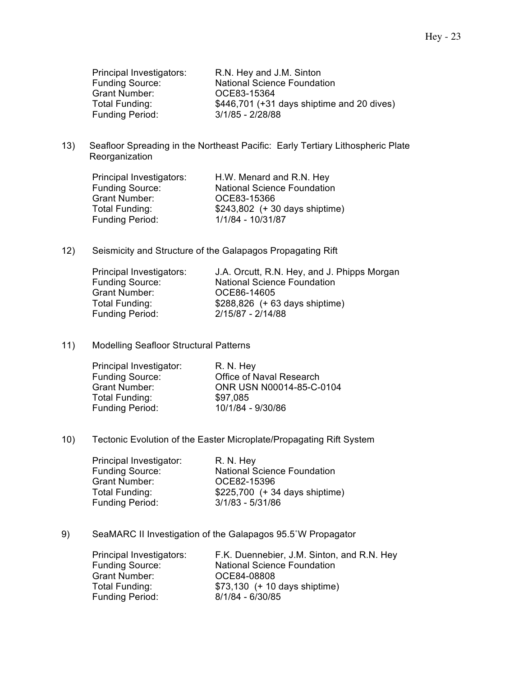Funding Source.<br>Grant Number: 0CE83-15364<br>\$446.701 (+31 Funding Period:

Principal Investigators: R.N. Hey and J.M. Sinton National Science Foundation \$446,701 (+31 days shiptime and 20 dives)<br>3/1/85 - 2/28/88

13) Seafloor Spreading in the Northeast Pacific: Early Tertiary Lithospheric Plate Reorganization

| Principal Investigators: | H.W. Menard and R.N. Hey           |
|--------------------------|------------------------------------|
| <b>Funding Source:</b>   | <b>National Science Foundation</b> |
| <b>Grant Number:</b>     | OCE83-15366                        |
| Total Funding:           | $$243,802$ (+ 30 days shiptime)    |
| <b>Funding Period:</b>   | 1/1/84 - 10/31/87                  |

12) Seismicity and Structure of the Galapagos Propagating Rift

| J.A. Orcutt, R.N. Hey, and J. Phipps Morgan |
|---------------------------------------------|
| <b>National Science Foundation</b>          |
| OCE86-14605                                 |
| $$288,826$ (+ 63 days shiptime)             |
| 2/15/87 - 2/14/88                           |
|                                             |

#### 11) Modelling Seafloor Structural Patterns

| Principal Investigator: | R. N. Hey                |
|-------------------------|--------------------------|
| <b>Funding Source:</b>  | Office of Naval Research |
| <b>Grant Number:</b>    | ONR USN N00014-85-C-0104 |
| Total Funding:          | \$97,085                 |
| <b>Funding Period:</b>  | 10/1/84 - 9/30/86        |

10) Tectonic Evolution of the Easter Microplate/Propagating Rift System

| R. N. Hey                          |
|------------------------------------|
| <b>National Science Foundation</b> |
| OCE82-15396                        |
| \$225,700 (+ 34 days shiptime)     |
| $3/1/83 - 5/31/86$                 |
|                                    |

9) SeaMARC II Investigation of the Galapagos 95.5˚W Propagator

| Principal Investigators: | F.K. Duennebier, J.M. Sinton, and R.N. Hey |
|--------------------------|--------------------------------------------|
| <b>Funding Source:</b>   | <b>National Science Foundation</b>         |
| Grant Number:            | OCE84-08808                                |
| Total Funding:           | \$73,130 (+ 10 days shiptime)              |
| <b>Funding Period:</b>   | $8/1/84 - 6/30/85$                         |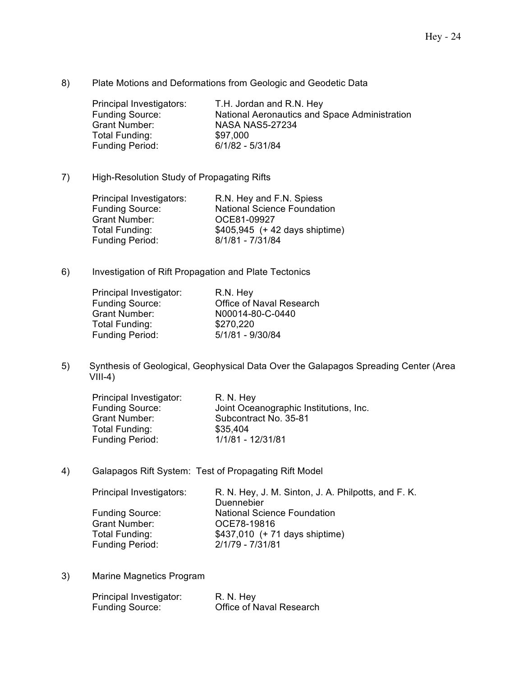8) Plate Motions and Deformations from Geologic and Geodetic Data

Principal Investigators: T.H. Jordan and R.N. Hey<br>Funding Source: National Aeronautics and S Funding Source: National Aeronautics and Space Administration<br>Grant Number: NASA NAS5-27234 **NASA NAS5-27234** Total Funding:  $$97,000$ <br>Funding Period: 6/1/82 - 5/31/84 Funding Period:

7) High-Resolution Study of Propagating Rifts

| Principal Investigators: | R.N. Hey and F.N. Spiess           |
|--------------------------|------------------------------------|
| <b>Funding Source:</b>   | <b>National Science Foundation</b> |
| Grant Number:            | OCE81-09927                        |
| Total Funding:           | $$405,945$ (+ 42 days shiptime)    |
| <b>Funding Period:</b>   | 8/1/81 - 7/31/84                   |

6) Investigation of Rift Propagation and Plate Tectonics

| Office of Naval Research |
|--------------------------|
| N00014-80-C-0440         |
|                          |
| 5/1/81 - 9/30/84         |
|                          |

5) Synthesis of Geological, Geophysical Data Over the Galapagos Spreading Center (Area  $VIII-4)$ 

| Principal Investigator: | R. N. Hey                              |
|-------------------------|----------------------------------------|
| <b>Funding Source:</b>  | Joint Oceanographic Institutions, Inc. |
| <b>Grant Number:</b>    | Subcontract No. 35-81                  |
| Total Funding:          | \$35,404                               |
| <b>Funding Period:</b>  | 1/1/81 - 12/31/81                      |

4) Galapagos Rift System: Test of Propagating Rift Model

| Principal Investigators: | R. N. Hey, J. M. Sinton, J. A. Philpotts, and F. K. |
|--------------------------|-----------------------------------------------------|
|                          | Duennebier                                          |
| <b>Funding Source:</b>   | <b>National Science Foundation</b>                  |
| <b>Grant Number:</b>     | OCE78-19816                                         |
| Total Funding:           | $$437,010$ (+ 71 days shiptime)                     |
| <b>Funding Period:</b>   | 2/1/79 - 7/31/81                                    |

3) Marine Magnetics Program

| Principal Investigator: | R. N. Hey                |
|-------------------------|--------------------------|
| <b>Funding Source:</b>  | Office of Naval Research |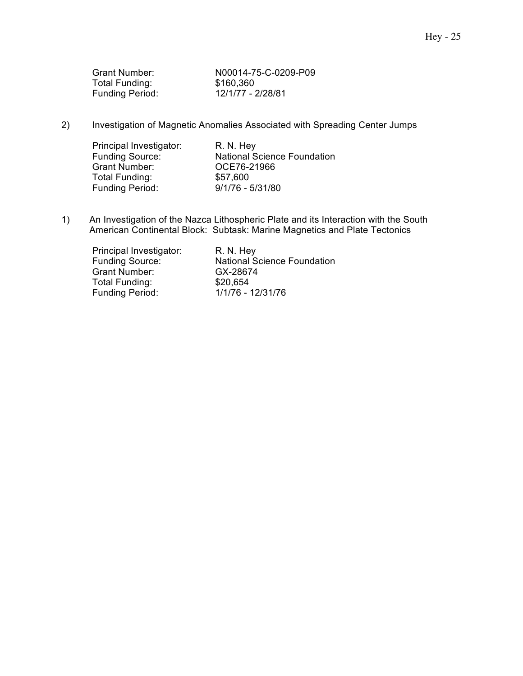| Grant Number:          | N00014-75-C-0209-P09 |
|------------------------|----------------------|
| Total Funding:         | \$160,360            |
| <b>Funding Period:</b> | 12/1/77 - 2/28/81    |

2) Investigation of Magnetic Anomalies Associated with Spreading Center Jumps

| Principal Investigator: | R. N. Hey                          |
|-------------------------|------------------------------------|
| <b>Funding Source:</b>  | <b>National Science Foundation</b> |
| <b>Grant Number:</b>    | OCE76-21966                        |
| Total Funding:          | \$57,600                           |
| <b>Funding Period:</b>  | $9/1/76 - 5/31/80$                 |

1) An Investigation of the Nazca Lithospheric Plate and its Interaction with the South American Continental Block: Subtask: Marine Magnetics and Plate Tectonics

| Principal Investigator: | R. N. Hey                          |
|-------------------------|------------------------------------|
| <b>Funding Source:</b>  | <b>National Science Foundation</b> |
| <b>Grant Number:</b>    | GX-28674                           |
| Total Funding:          | \$20,654                           |
| <b>Funding Period:</b>  | 1/1/76 - 12/31/76                  |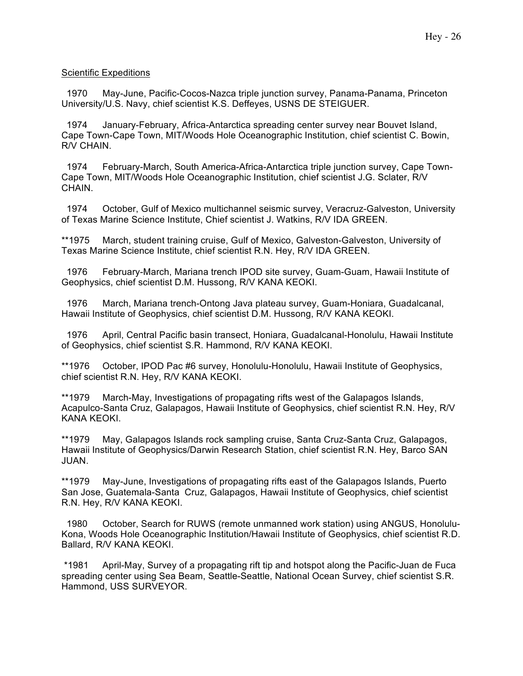### Scientific Expeditions

 1970 May-June, Pacific-Cocos-Nazca triple junction survey, Panama-Panama, Princeton University/U.S. Navy, chief scientist K.S. Deffeyes, USNS DE STEIGUER.

 1974 January-February, Africa-Antarctica spreading center survey near Bouvet Island, Cape Town-Cape Town, MIT/Woods Hole Oceanographic Institution, chief scientist C. Bowin, R/V CHAIN.

 1974 February-March, South America-Africa-Antarctica triple junction survey, Cape Town-Cape Town, MIT/Woods Hole Oceanographic Institution, chief scientist J.G. Sclater, R/V CHAIN.

 1974 October, Gulf of Mexico multichannel seismic survey, Veracruz-Galveston, University of Texas Marine Science Institute, Chief scientist J. Watkins, R/V IDA GREEN.

\*\*1975 March, student training cruise, Gulf of Mexico, Galveston-Galveston, University of Texas Marine Science Institute, chief scientist R.N. Hey, R/V IDA GREEN.

 1976 February-March, Mariana trench IPOD site survey, Guam-Guam, Hawaii Institute of Geophysics, chief scientist D.M. Hussong, R/V KANA KEOKI.

 1976 March, Mariana trench-Ontong Java plateau survey, Guam-Honiara, Guadalcanal, Hawaii Institute of Geophysics, chief scientist D.M. Hussong, R/V KANA KEOKI.

 1976 April, Central Pacific basin transect, Honiara, Guadalcanal-Honolulu, Hawaii Institute of Geophysics, chief scientist S.R. Hammond, R/V KANA KEOKI.

\*\*1976 October, IPOD Pac #6 survey, Honolulu-Honolulu, Hawaii Institute of Geophysics, chief scientist R.N. Hey, R/V KANA KEOKI.

\*\*1979 March-May, Investigations of propagating rifts west of the Galapagos Islands, Acapulco-Santa Cruz, Galapagos, Hawaii Institute of Geophysics, chief scientist R.N. Hey, R/V KANA KEOKI.

\*\*1979 May, Galapagos Islands rock sampling cruise, Santa Cruz-Santa Cruz, Galapagos, Hawaii Institute of Geophysics/Darwin Research Station, chief scientist R.N. Hey, Barco SAN JUAN.

\*\*1979 May-June, Investigations of propagating rifts east of the Galapagos Islands, Puerto San Jose, Guatemala-Santa Cruz, Galapagos, Hawaii Institute of Geophysics, chief scientist R.N. Hey, R/V KANA KEOKI.

 1980 October, Search for RUWS (remote unmanned work station) using ANGUS, Honolulu-Kona, Woods Hole Oceanographic Institution/Hawaii Institute of Geophysics, chief scientist R.D. Ballard, R/V KANA KEOKI.

\*1981 April-May, Survey of a propagating rift tip and hotspot along the Pacific-Juan de Fuca spreading center using Sea Beam, Seattle-Seattle, National Ocean Survey, chief scientist S.R. Hammond, USS SURVEYOR.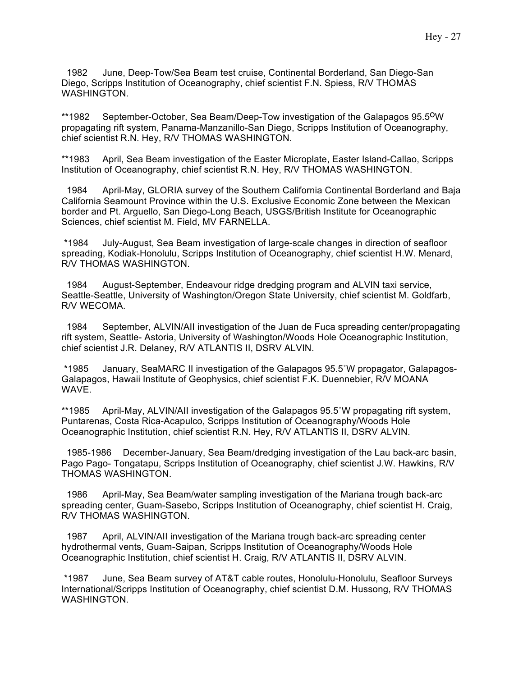1982 June, Deep-Tow/Sea Beam test cruise, Continental Borderland, San Diego-San Diego, Scripps Institution of Oceanography, chief scientist F.N. Spiess, R/V THOMAS WASHINGTON.

\*\*1982 September-October, Sea Beam/Deep-Tow investigation of the Galapagos 95.5<sup>o</sup>W propagating rift system, Panama-Manzanillo-San Diego, Scripps Institution of Oceanography, chief scientist R.N. Hey, R/V THOMAS WASHINGTON.

\*\*1983 April, Sea Beam investigation of the Easter Microplate, Easter Island-Callao, Scripps Institution of Oceanography, chief scientist R.N. Hey, R/V THOMAS WASHINGTON.

 1984 April-May, GLORIA survey of the Southern California Continental Borderland and Baja California Seamount Province within the U.S. Exclusive Economic Zone between the Mexican border and Pt. Arguello, San Diego-Long Beach, USGS/British Institute for Oceanographic Sciences, chief scientist M. Field, MV FARNELLA.

\*1984 July-August, Sea Beam investigation of large-scale changes in direction of seafloor spreading, Kodiak-Honolulu, Scripps Institution of Oceanography, chief scientist H.W. Menard, R/V THOMAS WASHINGTON.

 1984 August-September, Endeavour ridge dredging program and ALVIN taxi service, Seattle-Seattle, University of Washington/Oregon State University, chief scientist M. Goldfarb, R/V WECOMA.

 1984 September, ALVIN/AII investigation of the Juan de Fuca spreading center/propagating rift system, Seattle- Astoria, University of Washington/Woods Hole Oceanographic Institution, chief scientist J.R. Delaney, R/V ATLANTIS II, DSRV ALVIN.

\*1985 January, SeaMARC II investigation of the Galapagos 95.5˚W propagator, Galapagos-Galapagos, Hawaii Institute of Geophysics, chief scientist F.K. Duennebier, R/V MOANA WAVE.

\*\*1985 April-May, ALVIN/AII investigation of the Galapagos 95.5˚W propagating rift system, Puntarenas, Costa Rica-Acapulco, Scripps Institution of Oceanography/Woods Hole Oceanographic Institution, chief scientist R.N. Hey, R/V ATLANTIS II, DSRV ALVIN.

 1985-1986 December-January, Sea Beam/dredging investigation of the Lau back-arc basin, Pago Pago- Tongatapu, Scripps Institution of Oceanography, chief scientist J.W. Hawkins, R/V THOMAS WASHINGTON.

 1986 April-May, Sea Beam/water sampling investigation of the Mariana trough back-arc spreading center, Guam-Sasebo, Scripps Institution of Oceanography, chief scientist H. Craig, R/V THOMAS WASHINGTON.

 1987 April, ALVIN/AII investigation of the Mariana trough back-arc spreading center hydrothermal vents, Guam-Saipan, Scripps Institution of Oceanography/Woods Hole Oceanographic Institution, chief scientist H. Craig, R/V ATLANTIS II, DSRV ALVIN.

\*1987 June, Sea Beam survey of AT&T cable routes, Honolulu-Honolulu, Seafloor Surveys International/Scripps Institution of Oceanography, chief scientist D.M. Hussong, R/V THOMAS WASHINGTON.